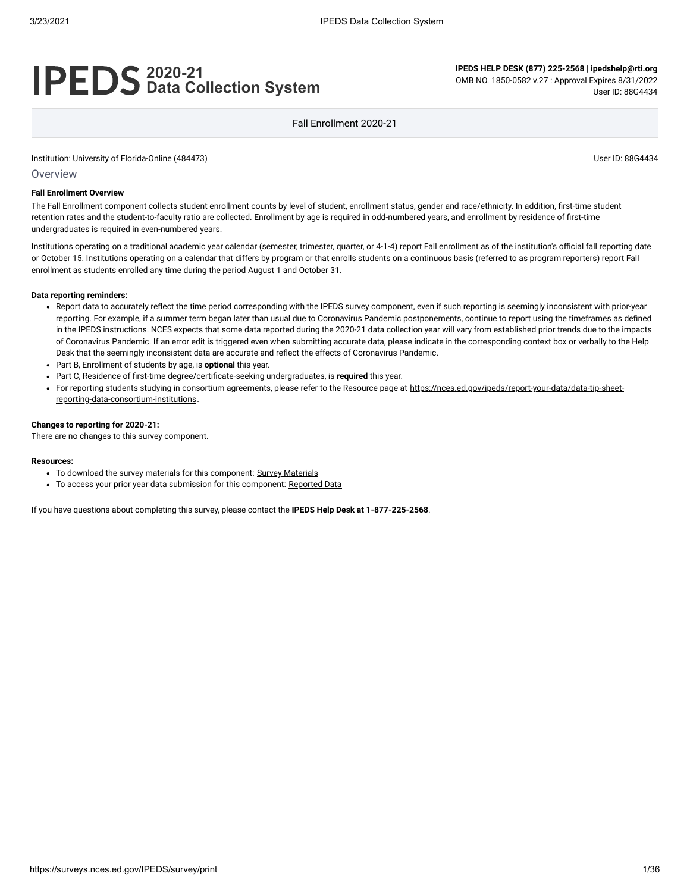# **2020-21 Data Collection System**

**IPEDS HELP DESK (877) 225-2568 | ipedshelp@rti.org** OMB NO. 1850-0582 v.27 : Approval Expires 8/31/2022 User ID: 88G4434

Fall Enrollment 2020-21

Institution: University of Florida-Online (484473) User ID: 88G4434

Overview

#### **Fall Enrollment Overview**

The Fall Enrollment component collects student enrollment counts by level of student, enrollment status, gender and race/ethnicity. In addition, first-time student retention rates and the student-to-faculty ratio are collected. Enrollment by age is required in odd-numbered years, and enrollment by residence of first-time undergraduates is required in even-numbered years.

Institutions operating on a traditional academic year calendar (semester, trimester, quarter, or 4-1-4) report Fall enrollment as of the institution's official fall reporting date or October 15. Institutions operating on a calendar that differs by program or that enrolls students on a continuous basis (referred to as program reporters) report Fall enrollment as students enrolled any time during the period August 1 and October 31.

#### **Data reporting reminders:**

- Report data to accurately reflect the time period corresponding with the IPEDS survey component, even if such reporting is seemingly inconsistent with prior-year reporting. For example, if a summer term began later than usual due to Coronavirus Pandemic postponements, continue to report using the timeframes as defined in the IPEDS instructions. NCES expects that some data reported during the 2020-21 data collection year will vary from established prior trends due to the impacts of Coronavirus Pandemic. If an error edit is triggered even when submitting accurate data, please indicate in the corresponding context box or verbally to the Help Desk that the seemingly inconsistent data are accurate and reflect the effects of Coronavirus Pandemic.
- Part B, Enrollment of students by age, is **optional** this year.
- Part C, Residence of first-time degree/certificate-seeking undergraduates, is **required** this year.
- For reporting students studying in consortium agreements, please refer to the Resource page at [https://nces.ed.gov/ipeds/report-your-data/data-tip-sheet](https://nces.ed.gov/ipeds/report-your-data/data-tip-sheet-reporting-data-consortium-institutions)reporting-data-consortium-institutions.

#### **Changes to reporting for 2020-21:**

There are no changes to this survey component.

#### **Resources:**

- To download the survey materials for this component: Survey [Materials](https://surveys.nces.ed.gov/ipeds/public/survey-materials/index)
- To access your prior year data submission for this component: [Reported Data](https://surveys.nces.ed.gov/IPEDS_py/DataForms.aspx?f0e9e4efc4dfb8afb3afafb2aea1eef0edf1e0f4c4dfb8b1a1f0eee0edc4dfb8b3b3c2afafaeafa1f0e9e4efc9dce8e0b8d0e9e4f1e0edeee4eff49beae19bc1e7eaede4dfdca8cae9e7e4e9e0a1ebedeadee0eeeeb8e0f3efe0ede9dce7a1eddfefb8aeaaadaeaaadabadac9bacadb5b0b0b5acab9bcbc8)

If you have questions about completing this survey, please contact the **IPEDS Help Desk at 1-877-225-2568**.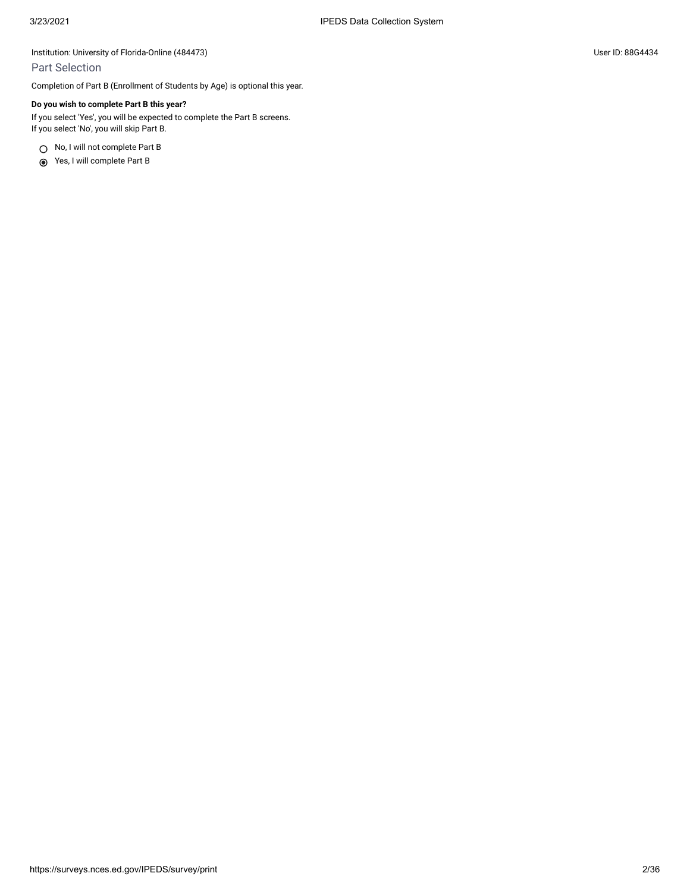# Part Selection

Completion of Part B (Enrollment of Students by Age) is optional this year.

### **Do you wish to complete Part B this year?**

If you select 'Yes', you will be expected to complete the Part B screens. If you select 'No', you will skip Part B.

○ No, I will not complete Part B

Yes, I will complete Part B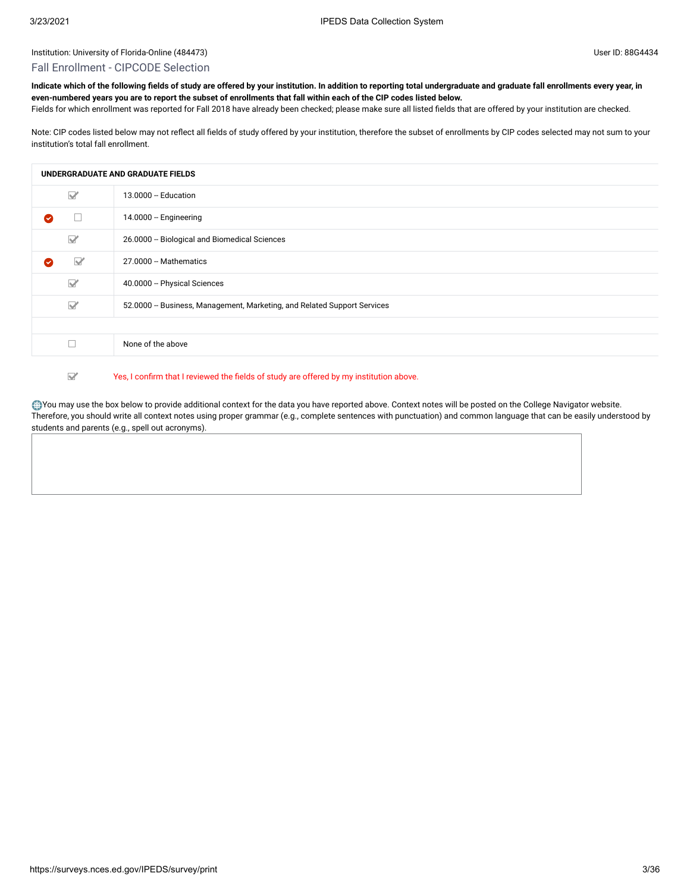#### Fall Enrollment - CIPCODE Selection

**Indicate which of the following fields of study are offered by your institution. In addition to reporting total undergraduate and graduate fall enrollments every year, in even-numbered years you are to report the subset of enrollments that fall within each of the CIP codes listed below.**

Fields for which enrollment was reported for Fall 2018 have already been checked; please make sure all listed fields that are offered by your institution are checked.

Note: CIP codes listed below may not reflect all fields of study offered by your institution, therefore the subset of enrollments by CIP codes selected may not sum to your institution's total fall enrollment.

|                                 | UNDERGRADUATE AND GRADUATE FIELDS                                       |
|---------------------------------|-------------------------------------------------------------------------|
| $\triangledown$                 | 13.0000 - Education                                                     |
| Ø                               | 14.0000 - Engineering                                                   |
| $\Box$                          | 26.0000 - Biological and Biomedical Sciences                            |
| $\triangledown$<br>$\checkmark$ | 27.0000 - Mathematics                                                   |
| $\Box$                          | 40.0000 - Physical Sciences                                             |
| $\Box$                          | 52.0000 - Business, Management, Marketing, and Related Support Services |
|                                 |                                                                         |
| Τ                               | None of the above                                                       |

#### $\overline{\mathbf{M}}$ Yes, I confirm that I reviewed the fields of study are offered by my institution above.

You may use the box below to provide additional context for the data you have reported above. Context notes will be posted on the College Navigator website. Therefore, you should write all context notes using proper grammar (e.g., complete sentences with punctuation) and common language that can be easily understood by students and parents (e.g., spell out acronyms).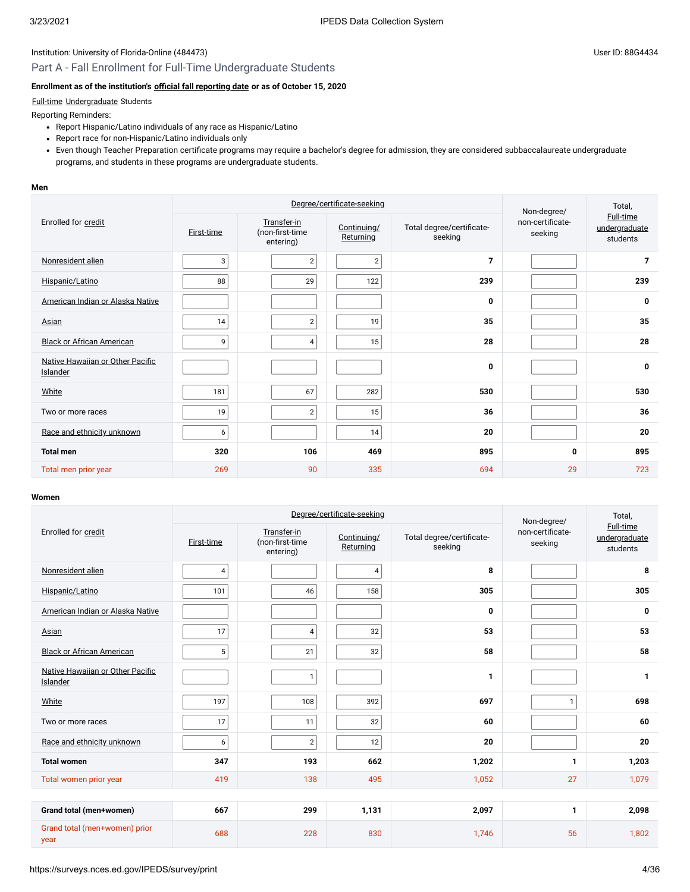# Part A - Fall Enrollment for Full-Time Undergraduate Students

# **Enrollment as of the institution's [official fall reporting date](javascript:openglossary(431)) or as of October 15, 2020**

## [Full-time](javascript:openglossary(259)) [Undergraduate](javascript:openglossary(677)) Students

Reporting Reminders:

- Report Hispanic/Latino individuals of any race as Hispanic/Latino
- Report race for non-Hispanic/Latino individuals only
- Even though Teacher Preparation certificate programs may require a bachelor's degree for admission, they are considered subbaccalaureate undergraduate programs, and students in these programs are undergraduate students.

#### **Men**

|                                              |            | Degree/certificate-seeking                  | Non-degree/              | Total,                               |                             |                                        |
|----------------------------------------------|------------|---------------------------------------------|--------------------------|--------------------------------------|-----------------------------|----------------------------------------|
| Enrolled for credit                          | First-time | Transfer-in<br>(non-first-time<br>entering) | Continuing/<br>Returning | Total degree/certificate-<br>seeking | non-certificate-<br>seeking | Full-time<br>undergraduate<br>students |
| Nonresident alien                            | 3          | $\overline{2}$                              | $\overline{2}$           | $\overline{7}$                       |                             | $\overline{7}$                         |
| Hispanic/Latino                              | 88         | 29                                          | 122                      | 239                                  |                             | 239                                    |
| American Indian or Alaska Native             |            |                                             |                          | 0                                    |                             | 0                                      |
| Asian                                        | 14         | $\overline{2}$                              | 19                       | 35                                   |                             | 35                                     |
| <b>Black or African American</b>             | 9          | $\overline{4}$                              | 15                       | 28                                   |                             | 28                                     |
| Native Hawaiian or Other Pacific<br>Islander |            |                                             |                          | 0                                    |                             | 0                                      |
| White                                        | 181        | 67                                          | 282                      | 530                                  |                             | 530                                    |
| Two or more races                            | 19         | $\overline{2}$                              | 15                       | 36                                   |                             | 36                                     |
| Race and ethnicity unknown                   | 6          |                                             | 14                       | 20                                   |                             | 20                                     |
| <b>Total men</b>                             | 320        | 106                                         | 469                      | 895                                  | 0                           | 895                                    |
| Total men prior year                         | 269        | 90                                          | 335                      | 694                                  | 29                          | 723                                    |

|                                              |                 | Degree/certificate-seeking                  | Non-degree/              | Total,                               |                             |                                               |
|----------------------------------------------|-----------------|---------------------------------------------|--------------------------|--------------------------------------|-----------------------------|-----------------------------------------------|
| Enrolled for credit                          | First-time      | Transfer-in<br>(non-first-time<br>entering) | Continuing/<br>Returning | Total degree/certificate-<br>seeking | non-certificate-<br>seeking | <b>Full-time</b><br>undergraduate<br>students |
| Nonresident alien                            | $\overline{4}$  |                                             | $\overline{4}$           | 8                                    |                             | 8                                             |
| Hispanic/Latino                              | 101             | 46                                          | 158                      | 305                                  |                             | 305                                           |
| American Indian or Alaska Native             |                 |                                             |                          | 0                                    |                             | 0                                             |
| Asian                                        | 17              | 4                                           | 32                       | 53                                   |                             | 53                                            |
| <b>Black or African American</b>             | $5\phantom{.0}$ | 21                                          | 32                       | 58                                   |                             | 58                                            |
| Native Hawaiian or Other Pacific<br>Islander |                 | $\mathbf{1}$                                |                          | 1                                    |                             | $\mathbf{1}$                                  |
| White                                        | 197             | 108                                         | 392                      | 697                                  | $\mathbf{1}$                | 698                                           |
| Two or more races                            | 17              | 11                                          | 32                       | 60                                   |                             | 60                                            |
| Race and ethnicity unknown                   | 6               | $\overline{2}$                              | 12                       | 20                                   |                             | 20                                            |
| <b>Total women</b>                           | 347             | 193                                         | 662                      | 1,202                                | 1                           | 1,203                                         |
| Total women prior year                       | 419             | 138                                         | 495                      | 1,052                                | 27                          | 1,079                                         |
|                                              |                 |                                             |                          |                                      |                             |                                               |
| Grand total (men+women)                      | 667             | 299                                         | 1,131                    | 2,097                                | 1                           | 2,098                                         |
| Grand total (men+women) prior<br>year        | 688             | 228                                         | 830                      | 1,746                                | 56                          | 1,802                                         |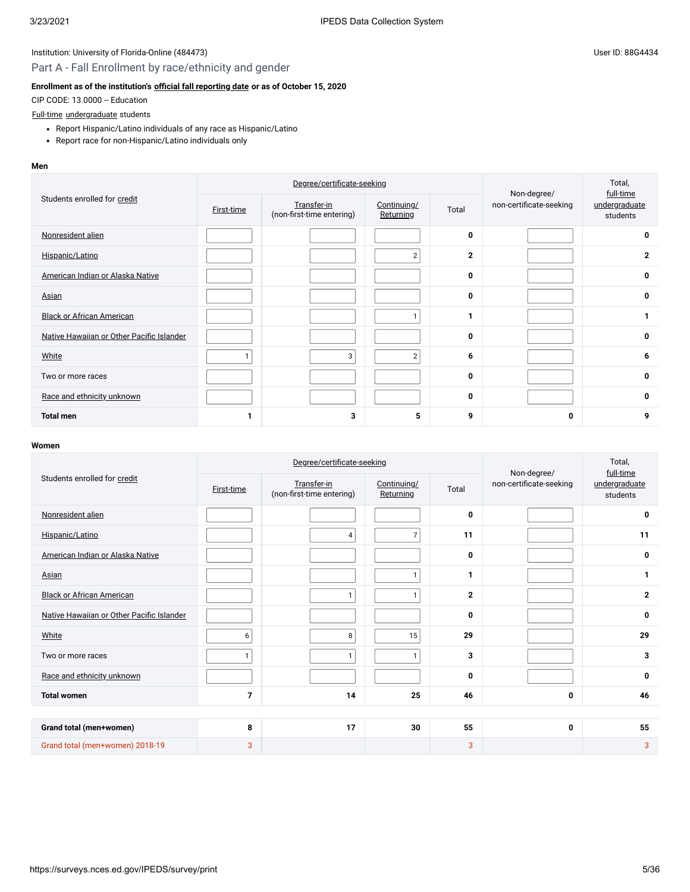# Part A - Fall Enrollment by race/ethnicity and gender

# **Enrollment as of the institution's [official fall reporting date](javascript:openglossary(431)) or as of October 15, 2020**

CIP CODE: 13.0000 -- Education

#### [Full-time](javascript:openglossary(259)) [undergraduate](javascript:openglossary(677)) students

- Report Hispanic/Latino individuals of any race as Hispanic/Latino
- Report race for non-Hispanic/Latino individuals only

#### **Men**

|                                           |                   | Degree/certificate-seeking               | Non-degree/              | Total,<br>full-time |                         |                           |
|-------------------------------------------|-------------------|------------------------------------------|--------------------------|---------------------|-------------------------|---------------------------|
| Students enrolled for credit              | <b>First-time</b> | Transfer-in<br>(non-first-time entering) | Continuing/<br>Returning | Total               | non-certificate-seeking | undergraduate<br>students |
| Nonresident alien                         |                   |                                          |                          | 0                   |                         | 0                         |
| Hispanic/Latino                           |                   |                                          | 2 <sub>1</sub>           | $\mathbf 2$         |                         | $\mathbf{2}$              |
| American Indian or Alaska Native          |                   |                                          |                          | 0                   |                         | 0                         |
| <b>Asian</b>                              |                   |                                          |                          | 0                   |                         | 0                         |
| <b>Black or African American</b>          |                   |                                          |                          | 1                   |                         | 1                         |
| Native Hawaiian or Other Pacific Islander |                   |                                          |                          | 0                   |                         | 0                         |
| White                                     |                   | 3                                        | $\overline{2}$           | 6                   |                         | 6                         |
| Two or more races                         |                   |                                          |                          | 0                   |                         | 0                         |
| Race and ethnicity unknown                |                   |                                          |                          | 0                   |                         | 0                         |
| <b>Total men</b>                          | 1                 | 3                                        | 5                        | 9                   | 0                       | 9                         |

|                                           |                | Degree/certificate-seeking               | Non-degree/              | Total,<br>full-time |                         |                           |
|-------------------------------------------|----------------|------------------------------------------|--------------------------|---------------------|-------------------------|---------------------------|
| Students enrolled for credit              | First-time     | Transfer-in<br>(non-first-time entering) | Continuing/<br>Returning | Total               | non-certificate-seeking | undergraduate<br>students |
| Nonresident alien                         |                |                                          |                          | 0                   |                         | 0                         |
| Hispanic/Latino                           |                | 4                                        | 7                        | 11                  |                         | 11                        |
| American Indian or Alaska Native          |                |                                          |                          | 0                   |                         | 0                         |
| Asian                                     |                |                                          | $\mathbf{1}$             | 1                   |                         | 1                         |
| <b>Black or African American</b>          |                | $\mathbf{1}$                             | $\mathbf{1}$             | $\overline{2}$      |                         | $\overline{2}$            |
| Native Hawaiian or Other Pacific Islander |                |                                          |                          | 0                   |                         | 0                         |
| White                                     | 6              | 8                                        | 15                       | 29                  |                         | 29                        |
| Two or more races                         | $\mathbf{1}$   | $\mathbf{1}$                             | $\mathbf{1}$             | 3                   |                         | 3                         |
| Race and ethnicity unknown                |                |                                          |                          | $\mathbf{0}$        |                         | $\mathbf 0$               |
| <b>Total women</b>                        | $\overline{7}$ | 14                                       | 25                       | 46                  | 0                       | 46                        |
|                                           |                |                                          |                          |                     |                         |                           |
| Grand total (men+women)                   | 8              | 17                                       | 30                       | 55                  | 0                       | 55                        |
| Grand total (men+women) 2018-19           | 3              |                                          |                          | 3                   |                         | 3                         |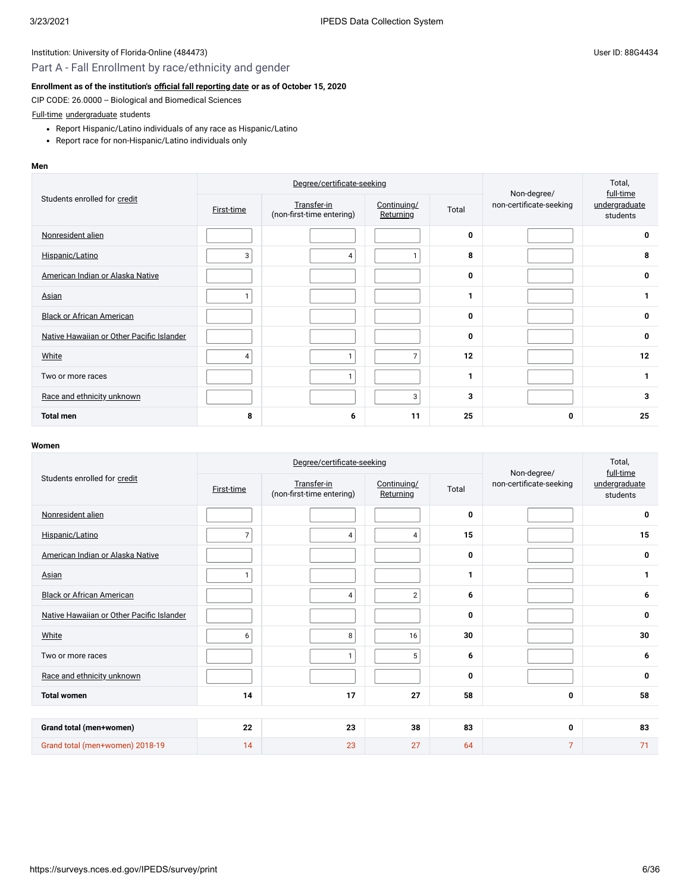# Part A - Fall Enrollment by race/ethnicity and gender

# **Enrollment as of the institution's [official fall reporting date](javascript:openglossary(431)) or as of October 15, 2020**

CIP CODE: 26.0000 -- Biological and Biomedical Sciences

### [Full-time](javascript:openglossary(259)) [undergraduate](javascript:openglossary(677)) students

- Report Hispanic/Latino individuals of any race as Hispanic/Latino
- Report race for non-Hispanic/Latino individuals only

#### **Men**

|                                           |            | Degree/certificate-seeking               | Non-degree/              | Total,<br>full-time |                         |                           |
|-------------------------------------------|------------|------------------------------------------|--------------------------|---------------------|-------------------------|---------------------------|
| Students enrolled for credit              | First-time | Transfer-in<br>(non-first-time entering) | Continuing/<br>Returning | Total               | non-certificate-seeking | undergraduate<br>students |
| Nonresident alien                         |            |                                          |                          | 0                   |                         | 0                         |
| Hispanic/Latino                           | 3          | 4                                        |                          | 8                   |                         | 8                         |
| American Indian or Alaska Native          |            |                                          |                          | 0                   |                         | 0                         |
| Asian                                     |            |                                          |                          | 1                   |                         | 1                         |
| <b>Black or African American</b>          |            |                                          |                          | 0                   |                         | 0                         |
| Native Hawaiian or Other Pacific Islander |            |                                          |                          | 0                   |                         | 0                         |
| White                                     | 4          | 1                                        | $\overline{7}$           | 12                  |                         | 12                        |
| Two or more races                         |            | $\mathbf{1}$                             |                          | 1                   |                         | 1                         |
| Race and ethnicity unknown                |            |                                          | 3                        | 3                   |                         | 3                         |
| <b>Total men</b>                          | 8          | 6                                        | 11                       | 25                  | 0                       | 25                        |

|                                           |                | Degree/certificate-seeking               | Non-degree/              | Total,<br>full-time |                         |                           |
|-------------------------------------------|----------------|------------------------------------------|--------------------------|---------------------|-------------------------|---------------------------|
| Students enrolled for credit              | First-time     | Transfer-in<br>(non-first-time entering) | Continuing/<br>Returning | Total               | non-certificate-seeking | undergraduate<br>students |
| Nonresident alien                         |                |                                          |                          | 0                   |                         | 0                         |
| Hispanic/Latino                           | $\overline{7}$ | $\overline{4}$                           | 4                        | 15                  |                         | 15                        |
| American Indian or Alaska Native          |                |                                          |                          | 0                   |                         | 0                         |
| Asian                                     | $\mathbf{1}$   |                                          |                          | 1                   |                         | 1                         |
| <b>Black or African American</b>          |                | 4                                        | $\mathbf{2}$             | 6                   |                         | 6                         |
| Native Hawaiian or Other Pacific Islander |                |                                          |                          | 0                   |                         | 0                         |
| White                                     | 6              | 8                                        | 16                       | 30                  |                         | 30                        |
| Two or more races                         |                | $\mathbf{1}$                             | 5                        | 6                   |                         | 6                         |
| Race and ethnicity unknown                |                |                                          |                          | 0                   |                         | $\mathbf 0$               |
| <b>Total women</b>                        | 14             | 17                                       | 27                       | 58                  | 0                       | 58                        |
|                                           |                |                                          |                          |                     |                         |                           |
| Grand total (men+women)                   | 22             | 23                                       | 38                       | 83                  | 0                       | 83                        |
| Grand total (men+women) 2018-19           | 14             | 23                                       | 27                       | 64                  | $\overline{7}$          | 71                        |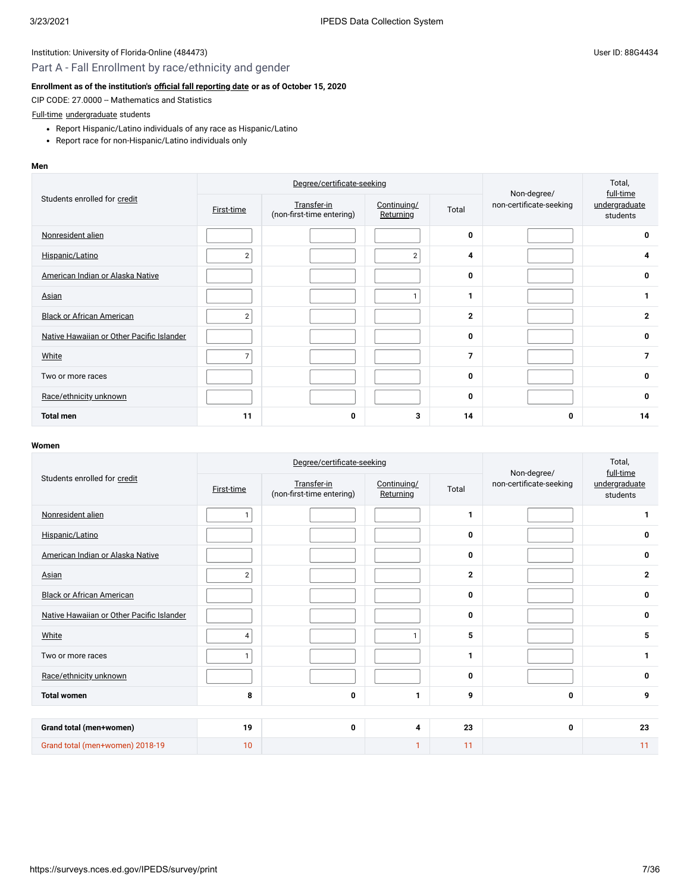# Part A - Fall Enrollment by race/ethnicity and gender

# **Enrollment as of the institution's [official fall reporting date](javascript:openglossary(431)) or as of October 15, 2020**

CIP CODE: 27.0000 -- Mathematics and Statistics

# [Full-time](javascript:openglossary(259)) [undergraduate](javascript:openglossary(677)) students

- Report Hispanic/Latino individuals of any race as Hispanic/Latino
- Report race for non-Hispanic/Latino individuals only

#### **Men**

|                                           |                | Degree/certificate-seeking               | Non-degree/              | Total,<br>full-time |                         |                           |
|-------------------------------------------|----------------|------------------------------------------|--------------------------|---------------------|-------------------------|---------------------------|
| Students enrolled for credit              | First-time     | Transfer-in<br>(non-first-time entering) | Continuing/<br>Returning | Total               | non-certificate-seeking | undergraduate<br>students |
| Nonresident alien                         |                |                                          |                          | 0                   |                         | $\mathbf 0$               |
| Hispanic/Latino                           | $\overline{2}$ |                                          | 2 <sub>1</sub>           | 4                   |                         | 4                         |
| American Indian or Alaska Native          |                |                                          |                          | 0                   |                         | 0                         |
| Asian                                     |                |                                          | 1.                       | 1                   |                         | $\mathbf{1}$              |
| <b>Black or African American</b>          | $\overline{2}$ |                                          |                          | $\overline{2}$      |                         | $\mathbf{2}$              |
| Native Hawaiian or Other Pacific Islander |                |                                          |                          | 0                   |                         | 0                         |
| White                                     | 7              |                                          |                          | 7                   |                         | $\overline{7}$            |
| Two or more races                         |                |                                          |                          | 0                   |                         | 0                         |
| Race/ethnicity unknown                    |                |                                          |                          | 0                   |                         | 0                         |
| <b>Total men</b>                          | 11             | 0                                        | 3                        | 14                  | 0                       | 14                        |

|                                           |                | Degree/certificate-seeking               | Non-degree/              | Total,<br>full-time |                         |                           |
|-------------------------------------------|----------------|------------------------------------------|--------------------------|---------------------|-------------------------|---------------------------|
| Students enrolled for credit              | First-time     | Transfer-in<br>(non-first-time entering) | Continuing/<br>Returning | Total               | non-certificate-seeking | undergraduate<br>students |
| Nonresident alien                         | 1              |                                          |                          | 1                   |                         | 1                         |
| Hispanic/Latino                           |                |                                          |                          | 0                   |                         | 0                         |
| American Indian or Alaska Native          |                |                                          |                          | 0                   |                         | 0                         |
| Asian                                     | $\overline{2}$ |                                          |                          | $\overline{2}$      |                         | $\mathbf{2}$              |
| <b>Black or African American</b>          |                |                                          |                          | 0                   |                         | 0                         |
| Native Hawaiian or Other Pacific Islander |                |                                          |                          | 0                   |                         | 0                         |
| White                                     | 4              |                                          | 1.                       | 5                   |                         | 5                         |
| Two or more races                         | $\mathbf{1}$   |                                          |                          | 1                   |                         | 1                         |
| Race/ethnicity unknown                    |                |                                          |                          | 0                   |                         | 0                         |
| <b>Total women</b>                        | 8              | 0                                        | 1                        | 9                   | 0                       | 9                         |
|                                           |                |                                          |                          |                     |                         |                           |
| Grand total (men+women)                   | 19             | 0                                        | 4                        | 23                  | 0                       | 23                        |
| Grand total (men+women) 2018-19           | 10             |                                          | 1                        | 11                  |                         | 11                        |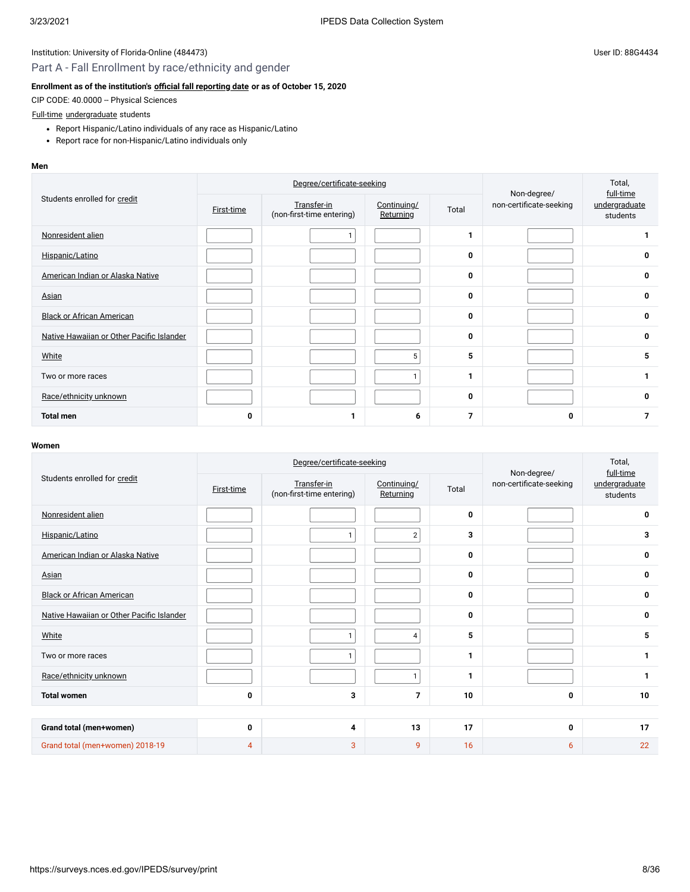# Part A - Fall Enrollment by race/ethnicity and gender

# **Enrollment as of the institution's [official fall reporting date](javascript:openglossary(431)) or as of October 15, 2020**

CIP CODE: 40.0000 -- Physical Sciences

### [Full-time](javascript:openglossary(259)) [undergraduate](javascript:openglossary(677)) students

- Report Hispanic/Latino individuals of any race as Hispanic/Latino
- Report race for non-Hispanic/Latino individuals only

#### **Men**

|                                           |            | Degree/certificate-seeking               | Non-degree/              | Total,<br>full-time |                         |                           |
|-------------------------------------------|------------|------------------------------------------|--------------------------|---------------------|-------------------------|---------------------------|
| Students enrolled for credit              | First-time | Transfer-in<br>(non-first-time entering) | Continuing/<br>Returning | Total               | non-certificate-seeking | undergraduate<br>students |
| Nonresident alien                         |            |                                          |                          | 1                   |                         |                           |
| Hispanic/Latino                           |            |                                          |                          | 0                   |                         | 0                         |
| American Indian or Alaska Native          |            |                                          |                          | 0                   |                         | 0                         |
| Asian                                     |            |                                          |                          | 0                   |                         | 0                         |
| <b>Black or African American</b>          |            |                                          |                          | 0                   |                         | 0                         |
| Native Hawaiian or Other Pacific Islander |            |                                          |                          | 0                   |                         | 0                         |
| White                                     |            |                                          | 5                        | 5                   |                         | 5                         |
| Two or more races                         |            |                                          | $\mathbf{1}$             | 1                   |                         | 1                         |
| Race/ethnicity unknown                    |            |                                          |                          | 0                   |                         | 0                         |
| <b>Total men</b>                          | 0          |                                          | 6                        | 7                   | 0                       | $\overline{7}$            |

|                                           |            | Degree/certificate-seeking               | Non-degree/              | Total,<br>full-time |                         |                           |
|-------------------------------------------|------------|------------------------------------------|--------------------------|---------------------|-------------------------|---------------------------|
| Students enrolled for credit              | First-time | Transfer-in<br>(non-first-time entering) | Continuing/<br>Returning | Total               | non-certificate-seeking | undergraduate<br>students |
| Nonresident alien                         |            |                                          |                          | 0                   |                         | 0                         |
| Hispanic/Latino                           |            | 1                                        | $\overline{2}$           | 3                   |                         | 3                         |
| American Indian or Alaska Native          |            |                                          |                          | 0                   |                         | 0                         |
| Asian                                     |            |                                          |                          | 0                   |                         | 0                         |
| <b>Black or African American</b>          |            |                                          |                          | 0                   |                         | 0                         |
| Native Hawaiian or Other Pacific Islander |            |                                          |                          | 0                   |                         | 0                         |
| White                                     |            | $\mathbf{1}$                             | $\overline{4}$           | 5                   |                         | 5                         |
| Two or more races                         |            | $\mathbf{1}$                             |                          | $\mathbf{1}$        |                         | 1                         |
| Race/ethnicity unknown                    |            |                                          | $\mathbf{1}$             | 1                   |                         | $\mathbf{1}$              |
| <b>Total women</b>                        | 0          | 3                                        | $\overline{7}$           | 10                  | 0                       | 10                        |
|                                           |            |                                          |                          |                     |                         |                           |
| Grand total (men+women)                   | 0          | 4                                        | 13                       | 17                  | 0                       | 17                        |
| Grand total (men+women) 2018-19           | 4          | $\mathbf{3}$                             | 9                        | 16                  | 6                       | 22                        |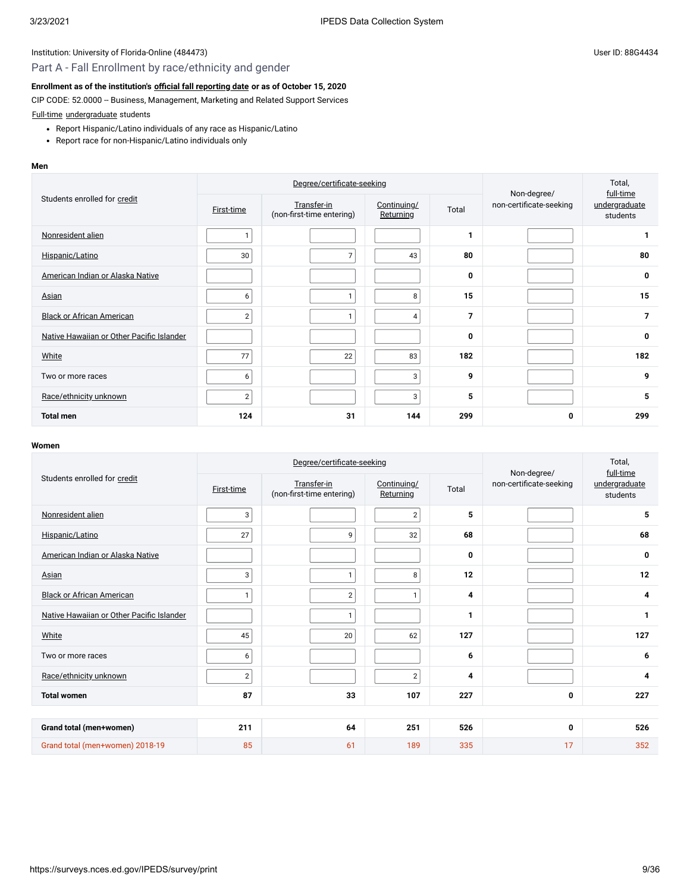# Part A - Fall Enrollment by race/ethnicity and gender

### **Enrollment as of the institution's [official fall reporting date](javascript:openglossary(431)) or as of October 15, 2020**

CIP CODE: 52.0000 -- Business, Management, Marketing and Related Support Services

[Full-time](javascript:openglossary(259)) [undergraduate](javascript:openglossary(677)) students

- Report Hispanic/Latino individuals of any race as Hispanic/Latino
- Report race for non-Hispanic/Latino individuals only

#### **Men**

|                                           |                | Degree/certificate-seeking               | Non-degree/              | Total,<br>full-time |                         |                           |
|-------------------------------------------|----------------|------------------------------------------|--------------------------|---------------------|-------------------------|---------------------------|
| Students enrolled for credit              | First-time     | Transfer-in<br>(non-first-time entering) | Continuing/<br>Returning | Total               | non-certificate-seeking | undergraduate<br>students |
| Nonresident alien                         |                |                                          |                          | 1                   |                         | 1                         |
| Hispanic/Latino                           | 30             | $\overline{7}$                           | 43                       | 80                  |                         | 80                        |
| American Indian or Alaska Native          |                |                                          |                          | 0                   |                         | 0                         |
| Asian                                     | 6              | 1                                        | 8                        | 15                  |                         | 15                        |
| <b>Black or African American</b>          | $\overline{2}$ | $\mathbf{1}$                             | $\overline{4}$           | 7                   |                         | $\overline{7}$            |
| Native Hawaiian or Other Pacific Islander |                |                                          |                          | 0                   |                         | 0                         |
| White                                     | 77             | 22                                       | 83                       | 182                 |                         | 182                       |
| Two or more races                         | 6              |                                          | 3                        | 9                   |                         | 9                         |
| Race/ethnicity unknown                    | $\overline{2}$ |                                          | 3 <sup>1</sup>           | 5                   |                         | 5                         |
| <b>Total men</b>                          | 124            | 31                                       | 144                      | 299                 | 0                       | 299                       |

|                                           |                   | Degree/certificate-seeking               | Non-degree/              | Total,<br>full-time |                         |                           |
|-------------------------------------------|-------------------|------------------------------------------|--------------------------|---------------------|-------------------------|---------------------------|
| Students enrolled for credit              | <b>First-time</b> | Transfer-in<br>(non-first-time entering) | Continuing/<br>Returning | Total               | non-certificate-seeking | undergraduate<br>students |
| Nonresident alien                         | 3                 |                                          | $\overline{2}$           | 5                   |                         | 5                         |
| Hispanic/Latino                           | 27                | 9                                        | 32                       | 68                  |                         | 68                        |
| American Indian or Alaska Native          |                   |                                          |                          | 0                   |                         | 0                         |
| Asian                                     | 3                 | $\mathbf{1}$                             | 8                        | 12                  |                         | 12                        |
| <b>Black or African American</b>          | 1                 | $\sqrt{2}$                               | $\mathbf{1}$             | 4                   |                         | 4                         |
| Native Hawaiian or Other Pacific Islander |                   | $\mathbf{1}$                             |                          | 1                   |                         | 1                         |
| White                                     | 45                | 20                                       | 62                       | 127                 |                         | 127                       |
| Two or more races                         | 6                 |                                          |                          | 6                   |                         | 6                         |
| Race/ethnicity unknown                    | $\overline{2}$    |                                          | $\overline{2}$           | 4                   |                         | 4                         |
| <b>Total women</b>                        | 87                | 33                                       | 107                      | 227                 | 0                       | 227                       |
|                                           |                   |                                          |                          |                     |                         |                           |
| Grand total (men+women)                   | 211               | 64                                       | 251                      | 526                 | 0                       | 526                       |
| Grand total (men+women) 2018-19           | 85                | 61                                       | 189                      | 335                 | 17                      | 352                       |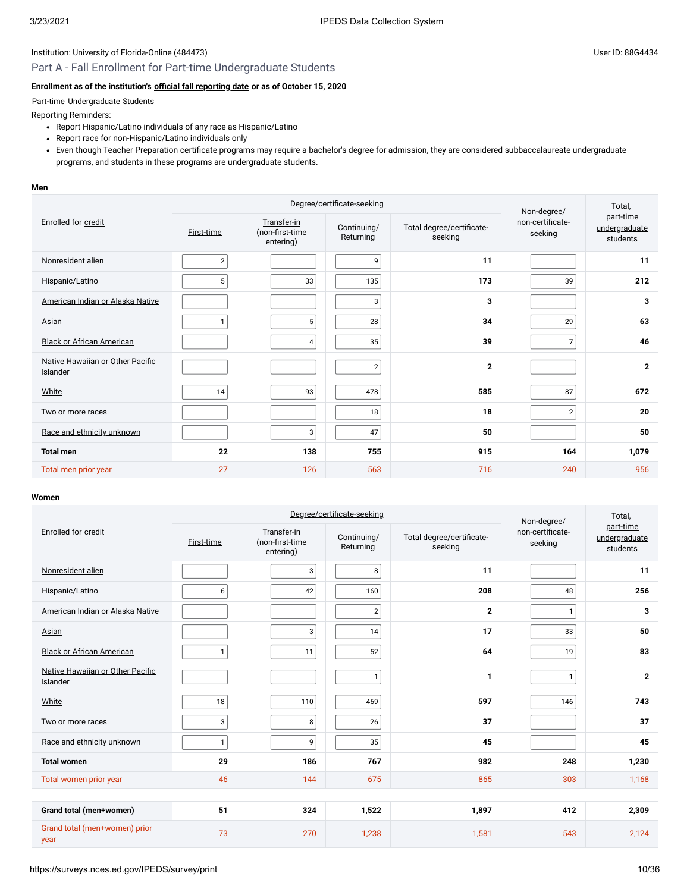# Part A - Fall Enrollment for Part-time Undergraduate Students

# **Enrollment as of the institution's [official fall reporting date](javascript:openglossary(431)) or as of October 15, 2020**

# [Part-time](javascript:openglossary(469)) [Undergraduate](javascript:openglossary(677)) Students

Reporting Reminders:

- Report Hispanic/Latino individuals of any race as Hispanic/Latino
- Report race for non-Hispanic/Latino individuals only
- Even though Teacher Preparation certificate programs may require a bachelor's degree for admission, they are considered subbaccalaureate undergraduate programs, and students in these programs are undergraduate students.

#### **Men**

|                                              |                | Degree/certificate-seeking                  | Non-degree/              | Total,                               |                             |                                        |
|----------------------------------------------|----------------|---------------------------------------------|--------------------------|--------------------------------------|-----------------------------|----------------------------------------|
| Enrolled for credit                          | First-time     | Transfer-in<br>(non-first-time<br>entering) | Continuing/<br>Returning | Total degree/certificate-<br>seeking | non-certificate-<br>seeking | part-time<br>undergraduate<br>students |
| Nonresident alien                            | $\overline{2}$ |                                             | 9                        | 11                                   |                             | 11                                     |
| Hispanic/Latino                              | 5              | 33                                          | 135                      | 173                                  | 39                          | 212                                    |
| American Indian or Alaska Native             |                |                                             | 3                        | 3                                    |                             | 3                                      |
| Asian                                        | $\mathbf{1}$   | 5                                           | 28                       | 34                                   | 29                          | 63                                     |
| <b>Black or African American</b>             |                | 4                                           | 35                       | 39                                   | $\overline{7}$              | 46                                     |
| Native Hawaiian or Other Pacific<br>Islander |                |                                             | $\sqrt{2}$               | $\overline{2}$                       |                             | $\overline{2}$                         |
| White                                        | 14             | 93                                          | 478                      | 585                                  | 87                          | 672                                    |
| Two or more races                            |                |                                             | 18                       | 18                                   | $\overline{2}$              | 20                                     |
| Race and ethnicity unknown                   |                | 3                                           | 47                       | 50                                   |                             | 50                                     |
| <b>Total men</b>                             | 22             | 138                                         | 755                      | 915                                  | 164                         | 1,079                                  |
| Total men prior year                         | 27             | 126                                         | 563                      | 716                                  | 240                         | 956                                    |

|                                              |              | Degree/certificate-seeking                  | Non-degree/              | Total.                               |                             |                                        |
|----------------------------------------------|--------------|---------------------------------------------|--------------------------|--------------------------------------|-----------------------------|----------------------------------------|
| Enrolled for credit                          | First-time   | Transfer-in<br>(non-first-time<br>entering) | Continuing/<br>Returning | Total degree/certificate-<br>seeking | non-certificate-<br>seeking | part-time<br>undergraduate<br>students |
| Nonresident alien                            |              | 3                                           | 8                        | 11                                   |                             | 11                                     |
| Hispanic/Latino                              | 6            | 42                                          | 160                      | 208                                  | 48                          | 256                                    |
| American Indian or Alaska Native             |              |                                             | $\overline{2}$           | $\overline{2}$                       | $\mathbf{1}$                | 3                                      |
| Asian                                        |              | 3                                           | 14                       | 17                                   | 33                          | 50                                     |
| <b>Black or African American</b>             | 1            | 11                                          | 52                       | 64                                   | 19                          | 83                                     |
| Native Hawaiian or Other Pacific<br>Islander |              |                                             | $\mathbf{1}$             | -1                                   | 1                           | $\mathbf{2}$                           |
| White                                        | 18           | 110                                         | 469                      | 597                                  | 146                         | 743                                    |
| Two or more races                            | 3            | 8                                           | 26                       | 37                                   |                             | 37                                     |
| Race and ethnicity unknown                   | $\mathbf{1}$ | 9                                           | 35                       | 45                                   |                             | 45                                     |
| <b>Total women</b>                           | 29           | 186                                         | 767                      | 982                                  | 248                         | 1,230                                  |
| Total women prior year                       | 46           | 144                                         | 675                      | 865                                  | 303                         | 1,168                                  |
|                                              |              |                                             |                          |                                      |                             |                                        |
| Grand total (men+women)                      | 51           | 324                                         | 1,522                    | 1,897                                | 412                         | 2,309                                  |
| Grand total (men+women) prior<br>year        | 73           | 270                                         | 1,238                    | 1,581                                | 543                         | 2,124                                  |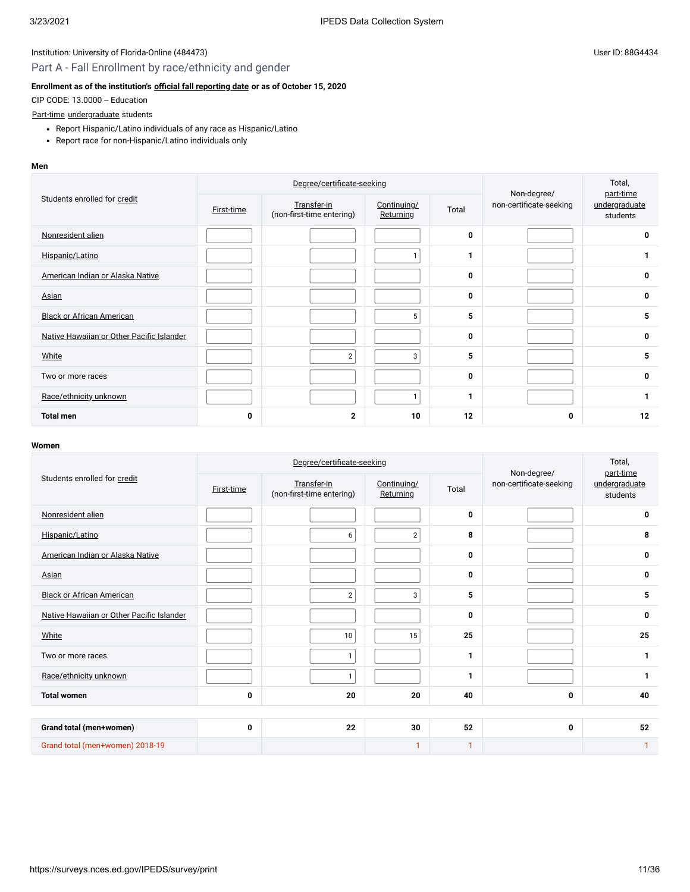# Part A - Fall Enrollment by race/ethnicity and gender

# **Enrollment as of the institution's [official fall reporting date](javascript:openglossary(431)) or as of October 15, 2020**

CIP CODE: 13.0000 -- Education

#### [Part-time](javascript:openglossary(469)) [undergraduate](javascript:openglossary(677)) students

- Report Hispanic/Latino individuals of any race as Hispanic/Latino
- Report race for non-Hispanic/Latino individuals only

#### **Men**

| Students enrolled for credit              |            | Degree/certificate-seeking               |                          | Non-degree/ | Total,<br>part-time     |                           |
|-------------------------------------------|------------|------------------------------------------|--------------------------|-------------|-------------------------|---------------------------|
|                                           | First-time | Transfer-in<br>(non-first-time entering) | Continuing/<br>Returning | Total       | non-certificate-seeking | undergraduate<br>students |
| Nonresident alien                         |            |                                          |                          | 0           |                         | 0                         |
| Hispanic/Latino                           |            |                                          |                          | 1           |                         | 1                         |
| American Indian or Alaska Native          |            |                                          |                          | 0           |                         | 0                         |
| Asian                                     |            |                                          |                          | 0           |                         | 0                         |
| <b>Black or African American</b>          |            |                                          | 5 <sup>1</sup>           | 5           |                         | 5                         |
| Native Hawaiian or Other Pacific Islander |            |                                          |                          | 0           |                         | 0                         |
| White                                     |            | $\overline{2}$                           | 3                        | 5           |                         | 5                         |
| Two or more races                         |            |                                          |                          | 0           |                         | 0                         |
| Race/ethnicity unknown                    |            |                                          |                          | 1           |                         | 1                         |
| <b>Total men</b>                          | 0          | $\mathbf{2}$                             | 10                       | 12          | 0                       | 12                        |

|                                           |            | Degree/certificate-seeking               | Non-degree/              | Total,<br>part-time |                         |                           |  |
|-------------------------------------------|------------|------------------------------------------|--------------------------|---------------------|-------------------------|---------------------------|--|
| Students enrolled for credit              | First-time | Transfer-in<br>(non-first-time entering) | Continuing/<br>Returning | Total               | non-certificate-seeking | undergraduate<br>students |  |
| Nonresident alien                         |            |                                          |                          | 0                   |                         | 0                         |  |
| Hispanic/Latino                           |            | 6                                        | $\overline{2}$           | 8                   |                         | 8                         |  |
| American Indian or Alaska Native          |            |                                          |                          | 0                   |                         | $\mathbf 0$               |  |
| Asian                                     |            |                                          |                          | 0                   |                         | 0                         |  |
| <b>Black or African American</b>          |            | $\overline{2}$                           | 3                        | 5                   |                         | 5                         |  |
| Native Hawaiian or Other Pacific Islander |            |                                          |                          | 0                   |                         | 0                         |  |
| White                                     |            | 10                                       | 15                       | 25                  |                         | 25                        |  |
| Two or more races                         |            | $\mathbf{1}$                             |                          | 1                   |                         | 1                         |  |
| Race/ethnicity unknown                    |            | $\mathbf{1}$                             |                          | 1                   |                         | $\mathbf{1}$              |  |
| <b>Total women</b>                        | 0          | 20                                       | 20                       | 40                  | 0                       | 40                        |  |
|                                           |            |                                          |                          |                     |                         |                           |  |
| Grand total (men+women)                   | 0          | 22                                       | 30                       | 52                  | 0                       | 52                        |  |
| Grand total (men+women) 2018-19           |            |                                          | 1                        | 1                   |                         | $\mathbf{1}$              |  |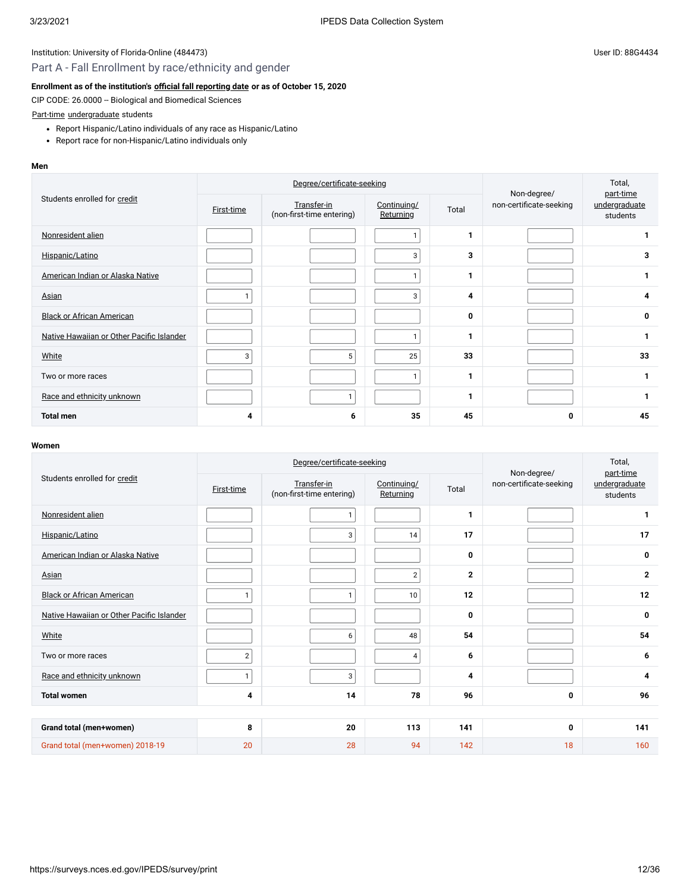# Part A - Fall Enrollment by race/ethnicity and gender

# **Enrollment as of the institution's [official fall reporting date](javascript:openglossary(431)) or as of October 15, 2020**

CIP CODE: 26.0000 -- Biological and Biomedical Sciences

#### [Part-time](javascript:openglossary(469)) [undergraduate](javascript:openglossary(677)) students

- Report Hispanic/Latino individuals of any race as Hispanic/Latino
- Report race for non-Hispanic/Latino individuals only

#### **Men**

| Students enrolled for credit              |                   | Degree/certificate-seeking               |                          | Non-degree/ | Total,<br>part-time     |                           |
|-------------------------------------------|-------------------|------------------------------------------|--------------------------|-------------|-------------------------|---------------------------|
|                                           | <b>First-time</b> | Transfer-in<br>(non-first-time entering) | Continuing/<br>Returning | Total       | non-certificate-seeking | undergraduate<br>students |
| Nonresident alien                         |                   |                                          |                          | 1           |                         |                           |
| Hispanic/Latino                           |                   |                                          | 3                        | 3           |                         | 3                         |
| American Indian or Alaska Native          |                   |                                          | 1                        | 1           |                         | 1                         |
| <b>Asian</b>                              |                   |                                          | 3                        | 4           |                         | 4                         |
| <b>Black or African American</b>          |                   |                                          |                          | 0           |                         | 0                         |
| Native Hawaiian or Other Pacific Islander |                   |                                          | 1                        | 1           |                         | 1                         |
| White                                     | 3                 | 5                                        | 25                       | 33          |                         | 33                        |
| Two or more races                         |                   |                                          | $\mathbf{1}$             | 1           |                         | $\mathbf 1$               |
| Race and ethnicity unknown                |                   | $\mathbf{1}$                             |                          | 1           |                         | $\mathbf 1$               |
| <b>Total men</b>                          | 4                 | 6                                        | 35                       | 45          | 0                       | 45                        |

|                                           |                   | Degree/certificate-seeking               | Non-degree/              | Total,<br>part-time |                         |                           |
|-------------------------------------------|-------------------|------------------------------------------|--------------------------|---------------------|-------------------------|---------------------------|
| Students enrolled for credit              | <b>First-time</b> | Transfer-in<br>(non-first-time entering) | Continuing/<br>Returning | Total               | non-certificate-seeking | undergraduate<br>students |
| Nonresident alien                         |                   | $\mathbf{1}$                             |                          | 1                   |                         | 1                         |
| Hispanic/Latino                           |                   | 3                                        | 14                       | 17                  |                         | 17                        |
| American Indian or Alaska Native          |                   |                                          |                          | 0                   |                         | 0                         |
| Asian                                     |                   |                                          | $\overline{2}$           | $\overline{2}$      |                         | $\mathbf{2}$              |
| <b>Black or African American</b>          | 1                 | $\mathbf{1}$                             | 10                       | 12                  |                         | 12                        |
| Native Hawaiian or Other Pacific Islander |                   |                                          |                          | 0                   |                         | 0                         |
| White                                     |                   | 6                                        | 48                       | 54                  |                         | 54                        |
| Two or more races                         | 2 <sup>1</sup>    |                                          | 4                        | 6                   |                         | 6                         |
| Race and ethnicity unknown                | 1                 | 3                                        |                          | $\overline{\bf{4}}$ |                         | 4                         |
| <b>Total women</b>                        | 4                 | 14                                       | 78                       | 96                  | 0                       | 96                        |
|                                           |                   |                                          |                          |                     |                         |                           |
| Grand total (men+women)                   | 8                 | 20                                       | 113                      | 141                 | 0                       | 141                       |
| Grand total (men+women) 2018-19           | 20                | 28                                       | 94                       | 142                 | 18                      | 160                       |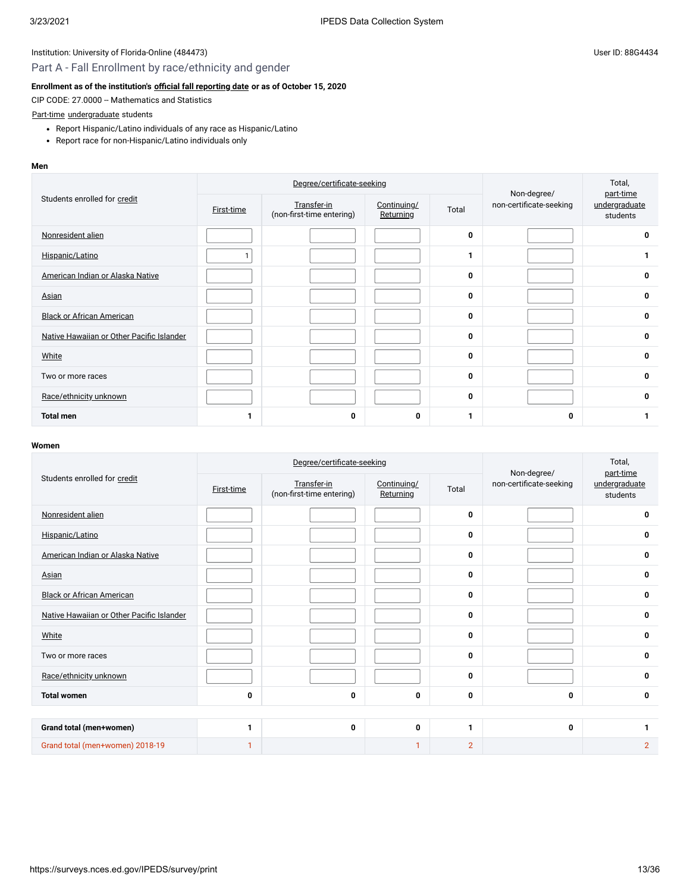# Part A - Fall Enrollment by race/ethnicity and gender

### **Enrollment as of the institution's [official fall reporting date](javascript:openglossary(431)) or as of October 15, 2020**

CIP CODE: 27.0000 -- Mathematics and Statistics

### [Part-time](javascript:openglossary(469)) [undergraduate](javascript:openglossary(677)) students

- Report Hispanic/Latino individuals of any race as Hispanic/Latino
- Report race for non-Hispanic/Latino individuals only

#### **Men**

|                                           |            | Degree/certificate-seeking               |                          | Non-degree/ | Total,<br>part-time     |                           |
|-------------------------------------------|------------|------------------------------------------|--------------------------|-------------|-------------------------|---------------------------|
| Students enrolled for credit              | First-time | Transfer-in<br>(non-first-time entering) | Continuing/<br>Returning | Total       | non-certificate-seeking | undergraduate<br>students |
| Nonresident alien                         |            |                                          |                          | 0           |                         | $\mathbf 0$               |
| Hispanic/Latino                           |            |                                          |                          | 1           |                         |                           |
| American Indian or Alaska Native          |            |                                          |                          | 0           |                         | 0                         |
| Asian                                     |            |                                          |                          | 0           |                         | 0                         |
| <b>Black or African American</b>          |            |                                          |                          | 0           |                         | 0                         |
| Native Hawaiian or Other Pacific Islander |            |                                          |                          | 0           |                         | 0                         |
| White                                     |            |                                          |                          | 0           |                         | 0                         |
| Two or more races                         |            |                                          |                          | 0           |                         | 0                         |
| Race/ethnicity unknown                    |            |                                          |                          | 0           |                         | 0                         |
| <b>Total men</b>                          | 1          | 0                                        | 0                        | 1           | 0                       |                           |

|                                           |                   | Degree/certificate-seeking               | Non-degree/              | Total,<br>part-time |                         |                           |
|-------------------------------------------|-------------------|------------------------------------------|--------------------------|---------------------|-------------------------|---------------------------|
| Students enrolled for credit              | <b>First-time</b> | Transfer-in<br>(non-first-time entering) | Continuing/<br>Returning | Total               | non-certificate-seeking | undergraduate<br>students |
| Nonresident alien                         |                   |                                          |                          | $\mathbf{0}$        |                         | 0                         |
| Hispanic/Latino                           |                   |                                          |                          | 0                   |                         | 0                         |
| American Indian or Alaska Native          |                   |                                          |                          | 0                   |                         | 0                         |
| Asian                                     |                   |                                          |                          | 0                   |                         | 0                         |
| <b>Black or African American</b>          |                   |                                          |                          | 0                   |                         | 0                         |
| Native Hawaiian or Other Pacific Islander |                   |                                          |                          | 0                   |                         | 0                         |
| White                                     |                   |                                          |                          | 0                   |                         | 0                         |
| Two or more races                         |                   |                                          |                          | 0                   |                         | 0                         |
| Race/ethnicity unknown                    |                   |                                          |                          | $\mathbf{0}$        |                         | 0                         |
| <b>Total women</b>                        | 0                 | 0                                        | 0                        | 0                   | 0                       | 0                         |
|                                           |                   |                                          |                          |                     |                         |                           |
| Grand total (men+women)                   | 1                 | 0                                        | 0                        | 1                   | 0                       | $\mathbf{1}$              |
| Grand total (men+women) 2018-19           | 1                 |                                          | 1                        | $\overline{2}$      |                         | $\overline{2}$            |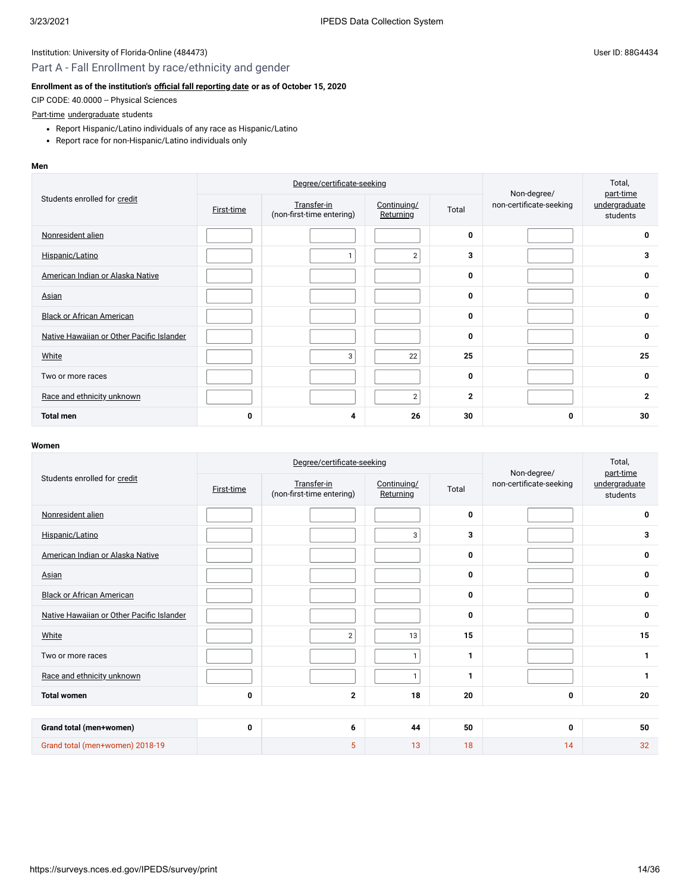# Part A - Fall Enrollment by race/ethnicity and gender

# **Enrollment as of the institution's [official fall reporting date](javascript:openglossary(431)) or as of October 15, 2020**

CIP CODE: 40.0000 -- Physical Sciences

#### [Part-time](javascript:openglossary(469)) [undergraduate](javascript:openglossary(677)) students

- Report Hispanic/Latino individuals of any race as Hispanic/Latino
- Report race for non-Hispanic/Latino individuals only

#### **Men**

| Students enrolled for credit              |                   | Degree/certificate-seeking               |                          | Non-degree/  | Total,<br>part-time     |                           |
|-------------------------------------------|-------------------|------------------------------------------|--------------------------|--------------|-------------------------|---------------------------|
|                                           | <b>First-time</b> | Transfer-in<br>(non-first-time entering) | Continuing/<br>Returning | Total        | non-certificate-seeking | undergraduate<br>students |
| Nonresident alien                         |                   |                                          |                          | 0            |                         | 0                         |
| Hispanic/Latino                           |                   | $\mathbf{1}$                             | 2 <sub>1</sub>           | 3            |                         | 3                         |
| American Indian or Alaska Native          |                   |                                          |                          | 0            |                         | 0                         |
| <b>Asian</b>                              |                   |                                          |                          | 0            |                         | 0                         |
| <b>Black or African American</b>          |                   |                                          |                          | 0            |                         | 0                         |
| Native Hawaiian or Other Pacific Islander |                   |                                          |                          | 0            |                         | 0                         |
| White                                     |                   | 3                                        | 22                       | 25           |                         | 25                        |
| Two or more races                         |                   |                                          |                          | 0            |                         | 0                         |
| Race and ethnicity unknown                |                   |                                          | $\overline{2}$           | $\mathbf{2}$ |                         | $\mathbf{2}$              |
| <b>Total men</b>                          | 0                 | 4                                        | 26                       | 30           | 0                       | 30                        |

|                                           |            | Degree/certificate-seeking               | Non-degree/              | Total,<br>part-time |                         |                           |  |
|-------------------------------------------|------------|------------------------------------------|--------------------------|---------------------|-------------------------|---------------------------|--|
| Students enrolled for credit              | First-time | Transfer-in<br>(non-first-time entering) | Continuing/<br>Returning | Total               | non-certificate-seeking | undergraduate<br>students |  |
| Nonresident alien                         |            |                                          |                          | 0                   |                         | 0                         |  |
| Hispanic/Latino                           |            |                                          | 3                        | 3                   |                         | 3                         |  |
| American Indian or Alaska Native          |            |                                          |                          | 0                   |                         | 0                         |  |
| Asian                                     |            |                                          |                          | 0                   |                         | 0                         |  |
| <b>Black or African American</b>          |            |                                          |                          | 0                   |                         | 0                         |  |
| Native Hawaiian or Other Pacific Islander |            |                                          |                          | 0                   |                         | 0                         |  |
| White                                     |            | $\overline{2}$                           | 13                       | 15                  |                         | 15                        |  |
| Two or more races                         |            |                                          | $\mathbf{1}$             | 1                   |                         | 1                         |  |
| Race and ethnicity unknown                |            |                                          | $\mathbf{1}$             | 1                   |                         | $\mathbf{1}$              |  |
| <b>Total women</b>                        | 0          | $\overline{2}$                           | 18                       | 20                  | 0                       | 20                        |  |
|                                           |            |                                          |                          |                     |                         |                           |  |
| Grand total (men+women)                   | 0          | 6                                        | 44                       | 50                  | 0                       | 50                        |  |
| Grand total (men+women) 2018-19           |            | 5                                        | 13                       | 18                  | 14                      | 32                        |  |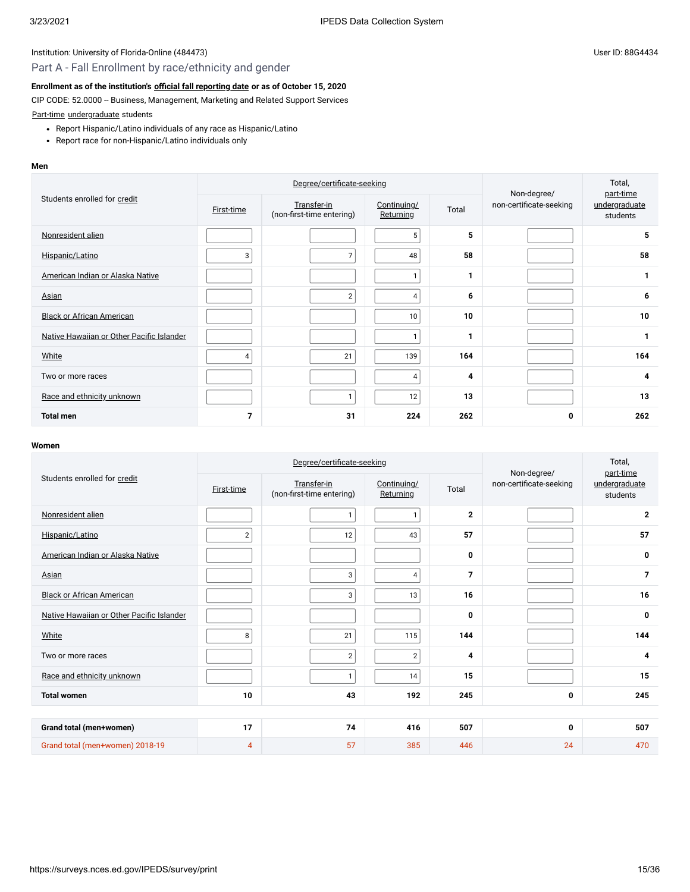# Part A - Fall Enrollment by race/ethnicity and gender

### **Enrollment as of the institution's [official fall reporting date](javascript:openglossary(431)) or as of October 15, 2020**

CIP CODE: 52.0000 -- Business, Management, Marketing and Related Support Services

[Part-time](javascript:openglossary(469)) [undergraduate](javascript:openglossary(677)) students

- Report Hispanic/Latino individuals of any race as Hispanic/Latino
- Report race for non-Hispanic/Latino individuals only

#### **Men**

|                                           |            | Degree/certificate-seeking               |                                 | Non-degree/ | Total,<br>part-time     |                           |
|-------------------------------------------|------------|------------------------------------------|---------------------------------|-------------|-------------------------|---------------------------|
| Students enrolled for credit              | First-time | Transfer-in<br>(non-first-time entering) | Continuing/<br><b>Returning</b> | Total       | non-certificate-seeking | undergraduate<br>students |
| Nonresident alien                         |            |                                          | 5                               | 5           |                         | 5                         |
| Hispanic/Latino                           | 3          | $\overline{7}$                           | 48                              | 58          |                         | 58                        |
| American Indian or Alaska Native          |            |                                          | 1                               | 1           |                         | 1                         |
| Asian                                     |            | $\overline{2}$                           | $\overline{4}$                  | 6           |                         | 6                         |
| <b>Black or African American</b>          |            |                                          | 10 <sup>°</sup>                 | 10          |                         | 10                        |
| Native Hawaiian or Other Pacific Islander |            |                                          | 1                               | 1           |                         | 1                         |
| White                                     | 4          | 21                                       | 139                             | 164         |                         | 164                       |
| Two or more races                         |            |                                          | $\overline{4}$                  | 4           |                         | 4                         |
| Race and ethnicity unknown                |            | 1                                        | 12                              | 13          |                         | 13                        |
| <b>Total men</b>                          | 7          | 31                                       | 224                             | 262         | 0                       | 262                       |

| Degree/certificate-seeking                |                   |                                          |                          |                | Non-degree/             | Total,<br>part-time       |  |
|-------------------------------------------|-------------------|------------------------------------------|--------------------------|----------------|-------------------------|---------------------------|--|
| Students enrolled for credit              | <b>First-time</b> | Transfer-in<br>(non-first-time entering) | Continuing/<br>Returning | Total          | non-certificate-seeking | undergraduate<br>students |  |
| Nonresident alien                         |                   | $\mathbf{1}$                             | $\mathbf{1}$             | $\mathbf{2}$   |                         | $\mathbf{2}$              |  |
| Hispanic/Latino                           | $2 \mid$          | 12                                       | 43                       | 57             |                         | 57                        |  |
| American Indian or Alaska Native          |                   |                                          |                          | 0              |                         | 0                         |  |
| Asian                                     |                   | 3                                        | 4                        | $\overline{7}$ |                         | $\overline{7}$            |  |
| <b>Black or African American</b>          |                   | 3                                        | 13                       | 16             |                         | 16                        |  |
| Native Hawaiian or Other Pacific Islander |                   |                                          |                          | 0              |                         | 0                         |  |
| White                                     | 8                 | 21                                       | 115                      | 144            |                         | 144                       |  |
| Two or more races                         |                   | $\sqrt{2}$                               | $\sqrt{2}$               | 4              |                         | 4                         |  |
| Race and ethnicity unknown                |                   | $\mathbf{1}$                             | 14                       | 15             |                         | 15                        |  |
| <b>Total women</b>                        | 10                | 43                                       | 192                      | 245            | $\mathbf 0$             | 245                       |  |
|                                           |                   |                                          |                          |                |                         |                           |  |
| Grand total (men+women)                   | 17                | 74                                       | 416                      | 507            | 0                       | 507                       |  |
| Grand total (men+women) 2018-19           | 4                 | 57                                       | 385                      | 446            | 24                      | 470                       |  |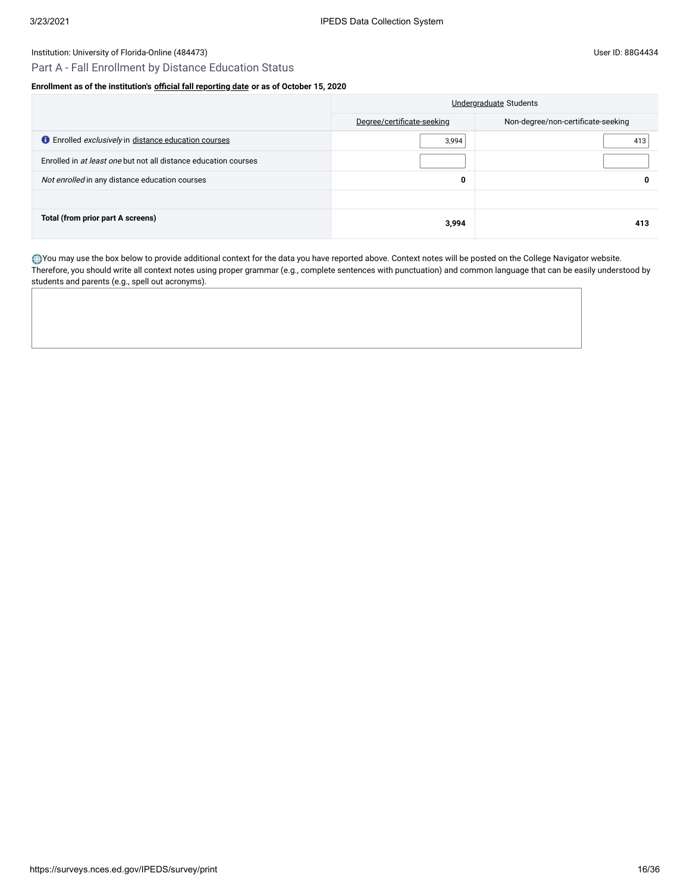# Part A - Fall Enrollment by Distance Education Status

# **Enrollment as of the institution's [official fall reporting date](javascript:openglossary(431)) or as of October 15, 2020**

|                                                                    | Undergraduate Students     |                                    |  |
|--------------------------------------------------------------------|----------------------------|------------------------------------|--|
|                                                                    | Degree/certificate-seeking | Non-degree/non-certificate-seeking |  |
| <b>C</b> Enrolled <i>exclusively</i> in distance education courses | 3,994                      | 413                                |  |
| Enrolled in at least one but not all distance education courses    |                            |                                    |  |
| Not enrolled in any distance education courses                     | 0                          | 0                                  |  |
|                                                                    |                            |                                    |  |
| Total (from prior part A screens)                                  | 3,994                      | 413                                |  |

You may use the box below to provide additional context for the data you have reported above. Context notes will be posted on the College Navigator website. Therefore, you should write all context notes using proper grammar (e.g., complete sentences with punctuation) and common language that can be easily understood by students and parents (e.g., spell out acronyms).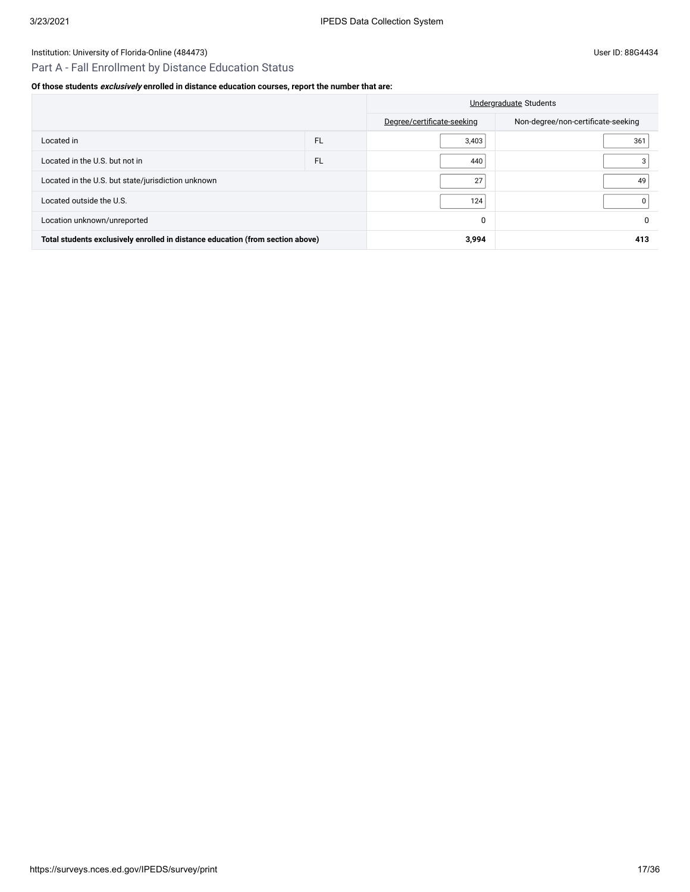# Part A - Fall Enrollment by Distance Education Status

# **Of those students exclusively enrolled in distance education courses, report the number that are:**

|                                                                                |           | Undergraduate Students     |                                    |  |
|--------------------------------------------------------------------------------|-----------|----------------------------|------------------------------------|--|
|                                                                                |           | Degree/certificate-seeking | Non-degree/non-certificate-seeking |  |
| Located in                                                                     | <b>FL</b> | 3,403                      | 361                                |  |
| Located in the U.S. but not in                                                 | <b>FL</b> | 440                        |                                    |  |
| Located in the U.S. but state/jurisdiction unknown                             |           | 27                         | 49                                 |  |
| Located outside the U.S.                                                       |           | 124                        |                                    |  |
| Location unknown/unreported                                                    |           | 0                          | 0                                  |  |
| Total students exclusively enrolled in distance education (from section above) |           | 3,994                      | 413                                |  |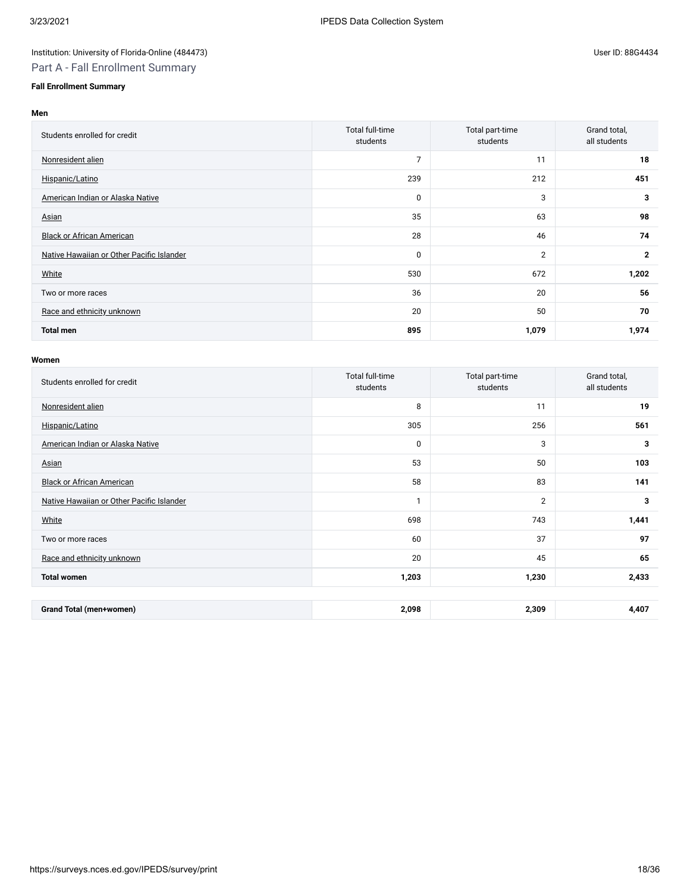# Part A - Fall Enrollment Summary

# **Fall Enrollment Summary**

### **Men**

| Students enrolled for credit              | Total full-time<br>students | Total part-time<br>students | Grand total,<br>all students |
|-------------------------------------------|-----------------------------|-----------------------------|------------------------------|
| Nonresident alien                         | 7                           | 11                          | 18                           |
| Hispanic/Latino                           | 239                         | 212                         | 451                          |
| American Indian or Alaska Native          | 0                           | 3                           | 3                            |
| Asian                                     | 35                          | 63                          | 98                           |
| <b>Black or African American</b>          | 28                          | 46                          | 74                           |
| Native Hawaiian or Other Pacific Islander | 0                           | $\overline{2}$              | $\mathbf{2}$                 |
| White                                     | 530                         | 672                         | 1,202                        |
| Two or more races                         | 36                          | 20                          | 56                           |
| Race and ethnicity unknown                | 20                          | 50                          | 70                           |
| <b>Total men</b>                          | 895                         | 1,079                       | 1,974                        |

| Students enrolled for credit              | Total full-time<br>students | Total part-time<br>students | Grand total,<br>all students |
|-------------------------------------------|-----------------------------|-----------------------------|------------------------------|
| Nonresident alien                         | 8                           | 11                          | 19                           |
| Hispanic/Latino                           | 305                         | 256                         | 561                          |
| American Indian or Alaska Native          | 0                           | 3                           | 3                            |
| Asian                                     | 53                          | 50                          | 103                          |
| <b>Black or African American</b>          | 58                          | 83                          | 141                          |
| Native Hawaiian or Other Pacific Islander | 1                           | $\overline{2}$              | 3                            |
| White                                     | 698                         | 743                         | 1,441                        |
| Two or more races                         | 60                          | 37                          | 97                           |
| Race and ethnicity unknown                | 20                          | 45                          | 65                           |
| <b>Total women</b>                        | 1,203                       | 1,230                       | 2,433                        |
|                                           |                             |                             |                              |
| <b>Grand Total (men+women)</b>            | 2,098                       | 2,309                       | 4,407                        |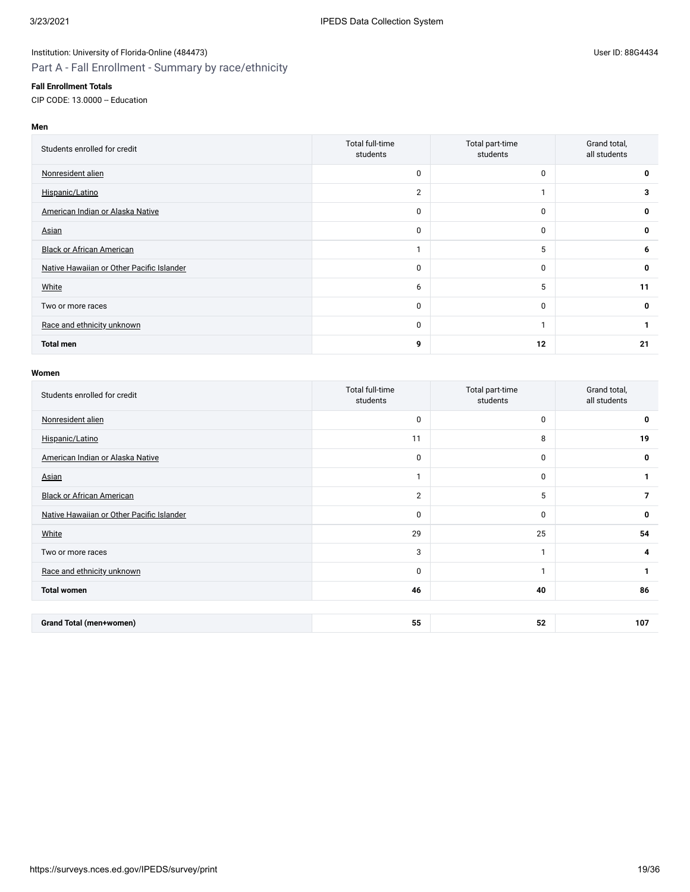#### **Fall Enrollment Totals**

CIP CODE: 13.0000 -- Education

# **Men**

| Students enrolled for credit              | Total full-time<br>students | Total part-time<br>students | Grand total,<br>all students |
|-------------------------------------------|-----------------------------|-----------------------------|------------------------------|
| Nonresident alien                         | 0                           | $\mathbf 0$                 | 0                            |
| Hispanic/Latino                           | $\overline{2}$              | и                           | 3                            |
| American Indian or Alaska Native          | 0                           | 0                           | 0                            |
| Asian                                     | 0                           | $\mathbf 0$                 | 0                            |
| <b>Black or African American</b>          | и                           | 5                           | 6                            |
| Native Hawaiian or Other Pacific Islander | 0                           | 0                           | 0                            |
| White                                     | 6                           | 5                           | 11                           |
| Two or more races                         | 0                           | 0                           | 0                            |
| Race and ethnicity unknown                | 0                           | м                           |                              |
| <b>Total men</b>                          | 9                           | 12                          | 21                           |

| Students enrolled for credit              | Total full-time<br>students | Total part-time<br>students | Grand total,<br>all students |
|-------------------------------------------|-----------------------------|-----------------------------|------------------------------|
| Nonresident alien                         | $\pmb{0}$                   | $\mathbf 0$                 | 0                            |
| Hispanic/Latino                           | 11                          | 8                           | 19                           |
| American Indian or Alaska Native          | 0                           | $\mathbf 0$                 | 0                            |
| Asian                                     | $\mathbf{1}$                | $\mathbf 0$                 | 1                            |
| <b>Black or African American</b>          | $\overline{2}$              | 5                           | 7                            |
| Native Hawaiian or Other Pacific Islander | 0                           | $\mathbf 0$                 | 0                            |
| White                                     | 29                          | 25                          | 54                           |
| Two or more races                         | 3                           | $\mathbf{I}$                | 4                            |
| Race and ethnicity unknown                | 0                           | $\mathbf{1}$                | 1                            |
| <b>Total women</b>                        | 46                          | 40                          | 86                           |
|                                           |                             |                             |                              |
| <b>Grand Total (men+women)</b>            | 55                          | 52                          | 107                          |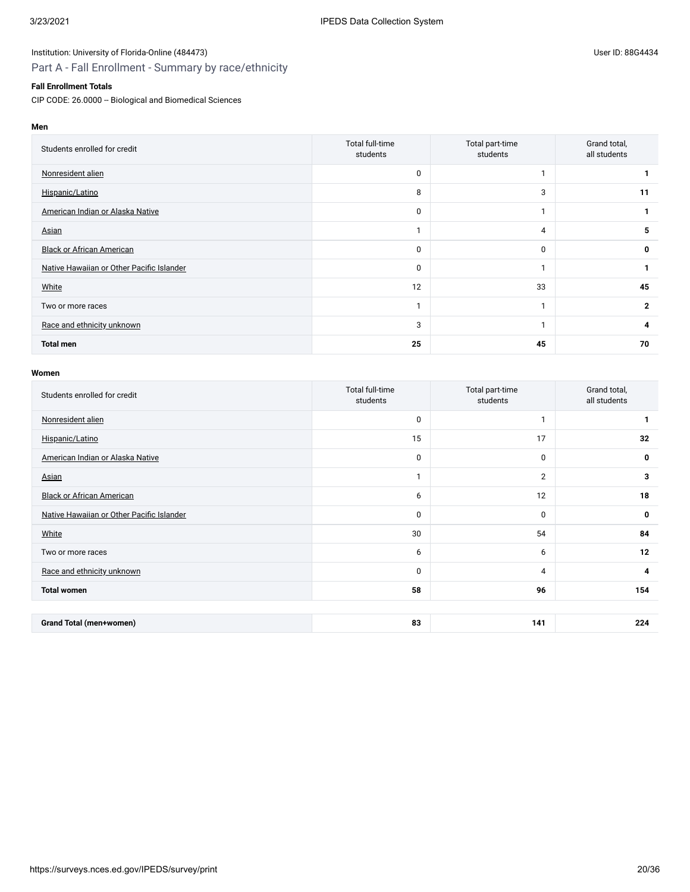#### **Fall Enrollment Totals**

CIP CODE: 26.0000 -- Biological and Biomedical Sciences

| Students enrolled for credit              | Total full-time<br>students | Total part-time<br>students | Grand total,<br>all students |
|-------------------------------------------|-----------------------------|-----------------------------|------------------------------|
| Nonresident alien                         | 0                           |                             |                              |
| Hispanic/Latino                           | 8                           | 3                           | 11                           |
| American Indian or Alaska Native          | 0                           |                             |                              |
| Asian                                     |                             | 4                           | 5                            |
| <b>Black or African American</b>          | 0                           | $\mathbf{0}$                | 0                            |
| Native Hawaiian or Other Pacific Islander | 0                           |                             |                              |
| White                                     | 12                          | 33                          | 45                           |
| Two or more races                         | 1                           |                             | $\mathbf{2}$                 |
| Race and ethnicity unknown                | 3                           |                             | 4                            |
| <b>Total men</b>                          | 25                          | 45                          | 70                           |

| Students enrolled for credit              | Total full-time<br>students | Total part-time<br>students | Grand total,<br>all students |
|-------------------------------------------|-----------------------------|-----------------------------|------------------------------|
| Nonresident alien                         | 0                           | 1                           |                              |
| Hispanic/Latino                           | 15                          | 17                          | 32                           |
| American Indian or Alaska Native          | 0                           | 0                           | 0                            |
| Asian                                     | $\mathbf{1}$                | $\overline{2}$              | 3                            |
| <b>Black or African American</b>          | 6                           | 12                          | 18                           |
| Native Hawaiian or Other Pacific Islander | 0                           | 0                           | 0                            |
| White                                     | 30                          | 54                          | 84                           |
| Two or more races                         | 6                           | 6                           | 12                           |
| Race and ethnicity unknown                | 0                           | $\overline{4}$              | 4                            |
| <b>Total women</b>                        | 58                          | 96                          | 154                          |
|                                           |                             |                             |                              |
| <b>Grand Total (men+women)</b>            | 83                          | 141                         | 224                          |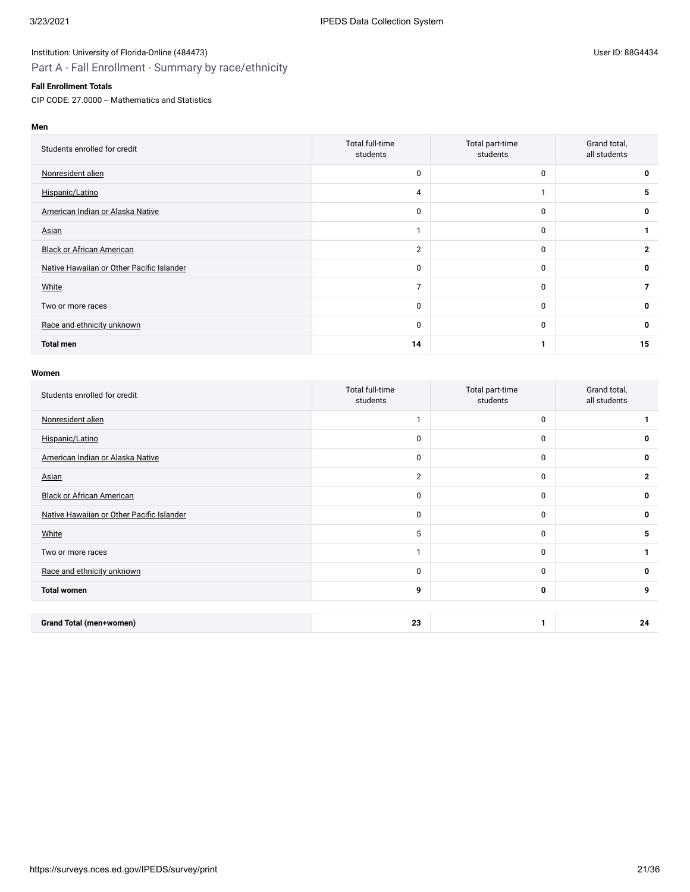#### **Fall Enrollment Totals**

CIP CODE: 27.0000 -- Mathematics and Statistics

**Men**

| Students enrolled for credit              | Total full-time<br>students | Total part-time<br>students | Grand total,<br>all students |
|-------------------------------------------|-----------------------------|-----------------------------|------------------------------|
| Nonresident alien                         | 0                           | $\mathbf{0}$                |                              |
| Hispanic/Latino                           | 4                           |                             | 5                            |
| American Indian or Alaska Native          | 0                           | $\mathbf 0$                 | 0                            |
| Asian                                     |                             | $\mathbf{0}$                |                              |
| <b>Black or African American</b>          | $\overline{2}$              | $\mathbf 0$                 | $\mathbf{2}$                 |
| Native Hawaiian or Other Pacific Islander | 0                           | $\mathbf 0$                 | 0                            |
| White                                     | $\overline{7}$              | $\mathbf{0}$                | 7                            |
| Two or more races                         | $\mathbf 0$                 | $\mathbf 0$                 | 0                            |
| Race and ethnicity unknown                | 0                           | $\mathbf 0$                 | 0                            |
| <b>Total men</b>                          | 14                          |                             | 15                           |

| Students enrolled for credit              | Total full-time<br>students | Total part-time<br>students | Grand total,<br>all students |
|-------------------------------------------|-----------------------------|-----------------------------|------------------------------|
| Nonresident alien                         | 1                           | 0                           |                              |
| Hispanic/Latino                           | $\mathbf 0$                 | 0                           | 0                            |
| American Indian or Alaska Native          | 0                           | 0                           | 0                            |
| Asian                                     | $\mathbf{2}$                | 0                           | $\mathbf{2}$                 |
| <b>Black or African American</b>          | 0                           | 0                           | 0                            |
| Native Hawaiian or Other Pacific Islander | 0                           | 0                           | 0                            |
| White                                     | 5                           | 0                           | 5                            |
| Two or more races                         | $\mathbf{I}$                | 0                           |                              |
| Race and ethnicity unknown                | 0                           | 0                           | 0                            |
| <b>Total women</b>                        | 9                           | 0                           | 9                            |
|                                           |                             |                             |                              |
| <b>Grand Total (men+women)</b>            | 23                          | 1                           | 24                           |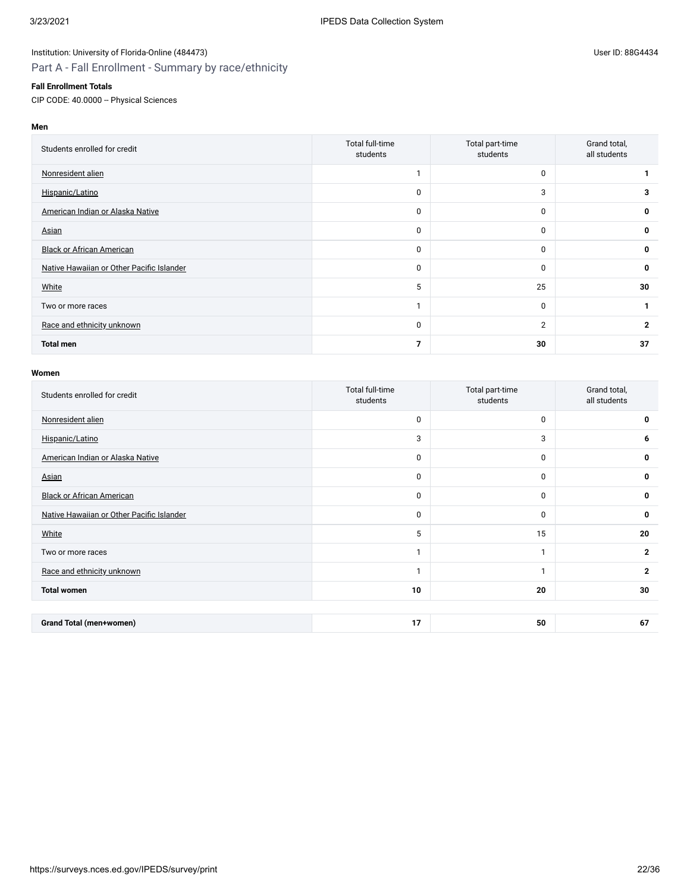#### **Fall Enrollment Totals**

CIP CODE: 40.0000 -- Physical Sciences

# **Men**

| Students enrolled for credit              | Total full-time<br>students | Total part-time<br>students | Grand total,<br>all students |
|-------------------------------------------|-----------------------------|-----------------------------|------------------------------|
| Nonresident alien                         |                             | $\mathbf 0$                 |                              |
| Hispanic/Latino                           | 0                           | 3                           | 3                            |
| American Indian or Alaska Native          | 0                           | $\mathbf 0$                 | 0                            |
| Asian                                     | 0                           | $\mathbf 0$                 | 0                            |
| <b>Black or African American</b>          | 0                           | $\mathbf 0$                 | 0                            |
| Native Hawaiian or Other Pacific Islander | 0                           | $\mathbf 0$                 | $\mathbf{0}$                 |
| White                                     | 5                           | 25                          | 30                           |
| Two or more races                         |                             | 0                           |                              |
| Race and ethnicity unknown                | 0                           | $\overline{2}$              | $\overline{2}$               |
| <b>Total men</b>                          | $\overline{7}$              | 30                          | 37                           |

| Students enrolled for credit              | Total full-time<br>students | Total part-time<br>students | Grand total,<br>all students |
|-------------------------------------------|-----------------------------|-----------------------------|------------------------------|
| Nonresident alien                         | 0                           | $\mathbf 0$                 | 0                            |
| Hispanic/Latino                           | 3                           | 3                           | 6                            |
| American Indian or Alaska Native          | 0                           | $\mathbf 0$                 | 0                            |
| Asian                                     | 0                           | $\mathbf 0$                 | 0                            |
| <b>Black or African American</b>          | 0                           | $\mathbf 0$                 | 0                            |
| Native Hawaiian or Other Pacific Islander | 0                           | $\mathbf 0$                 | 0                            |
| White                                     | 5                           | 15                          | 20                           |
| Two or more races                         | $\mathbf{1}$                | $\mathbf{I}$                | $\mathbf{2}$                 |
| Race and ethnicity unknown                | $\mathbf{1}$                | 1                           | $\mathbf{2}$                 |
| <b>Total women</b>                        | 10                          | 20                          | 30                           |
|                                           |                             |                             |                              |
| <b>Grand Total (men+women)</b>            | 17                          | 50                          | 67                           |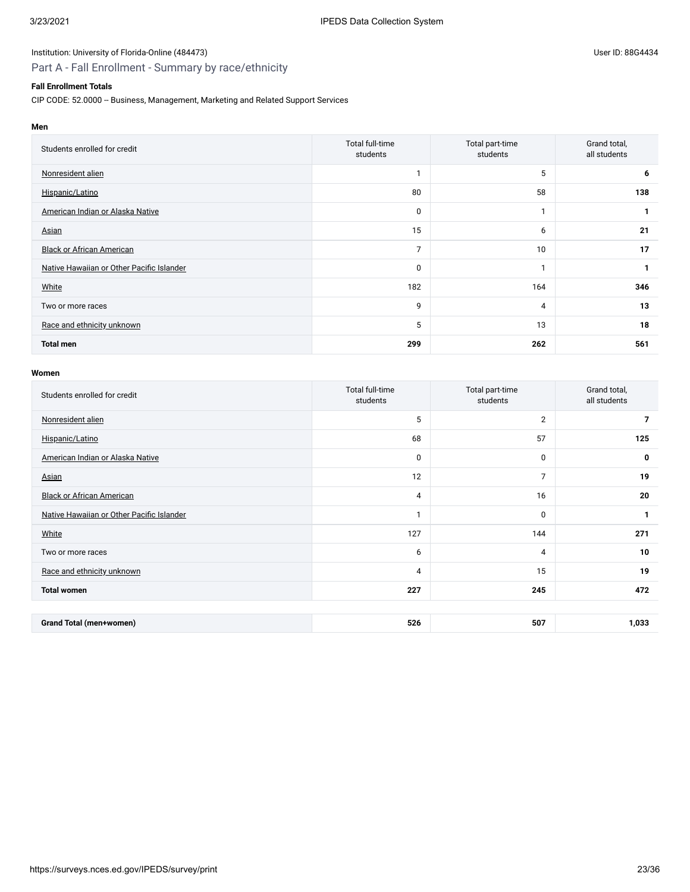# Part A - Fall Enrollment - Summary by race/ethnicity

### **Fall Enrollment Totals**

CIP CODE: 52.0000 -- Business, Management, Marketing and Related Support Services

| Students enrolled for credit              | Total full-time<br>students | Total part-time<br>students | Grand total,<br>all students |
|-------------------------------------------|-----------------------------|-----------------------------|------------------------------|
| Nonresident alien                         | -1                          | 5                           | 6                            |
| Hispanic/Latino                           | 80                          | 58                          | 138                          |
| American Indian or Alaska Native          | 0                           |                             |                              |
| Asian                                     | 15                          | 6                           | 21                           |
| <b>Black or African American</b>          | $\overline{7}$              | 10                          | 17                           |
| Native Hawaiian or Other Pacific Islander | $\mathbf 0$                 |                             |                              |
| White                                     | 182                         | 164                         | 346                          |
| Two or more races                         | 9                           | $\overline{4}$              | 13                           |
| Race and ethnicity unknown                | 5                           | 13                          | 18                           |
| <b>Total men</b>                          | 299                         | 262                         | 561                          |

| Students enrolled for credit              | Total full-time<br>students | Total part-time<br>students | Grand total,<br>all students |
|-------------------------------------------|-----------------------------|-----------------------------|------------------------------|
| Nonresident alien                         | 5                           | $\overline{2}$              | 7                            |
| Hispanic/Latino                           | 68                          | 57                          | 125                          |
| American Indian or Alaska Native          | 0                           | 0                           | 0                            |
| Asian                                     | 12                          | $\overline{7}$              | 19                           |
| <b>Black or African American</b>          | 4                           | 16                          | 20                           |
| Native Hawaiian or Other Pacific Islander | $\mathbf{1}$                | 0                           | 1                            |
| White                                     | 127                         | 144                         | 271                          |
| Two or more races                         | 6                           | $\overline{4}$              | 10                           |
| Race and ethnicity unknown                | 4                           | 15                          | 19                           |
| <b>Total women</b>                        | 227                         | 245                         | 472                          |
|                                           |                             |                             |                              |
| <b>Grand Total (men+women)</b>            | 526                         | 507                         | 1,033                        |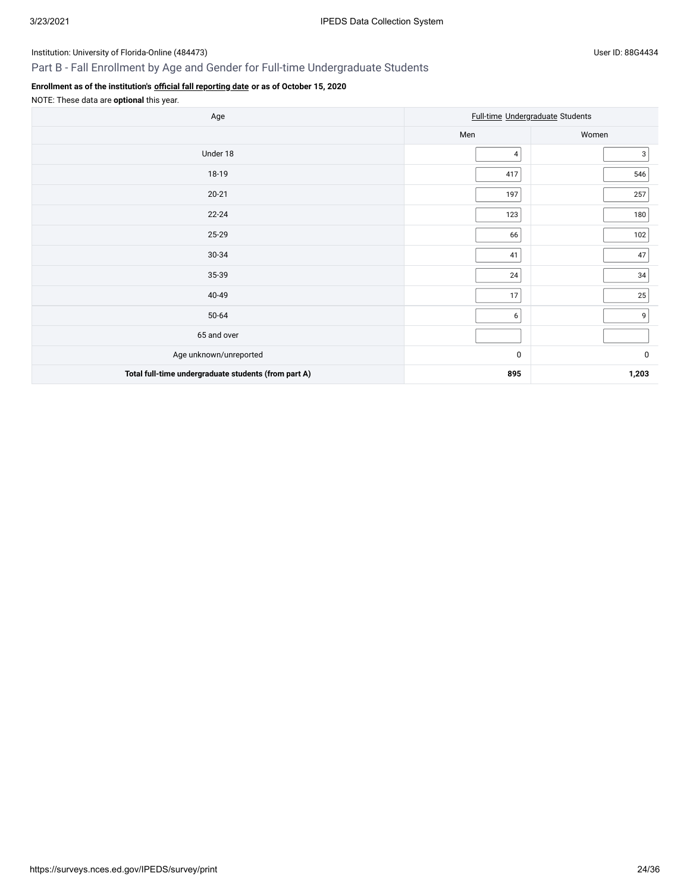# Part B - Fall Enrollment by Age and Gender for Full-time Undergraduate Students

# **Enrollment as of the institution's [official fall reporting date](javascript:openglossary(431)) or as of October 15, 2020**

NOTE: These data are **optional** this year.

| Age                                                  |                | Full-time Undergraduate Students |
|------------------------------------------------------|----------------|----------------------------------|
|                                                      | Men            | Women                            |
| Under 18                                             | 4              | 3                                |
| 18-19                                                | 417            | 546                              |
| $20 - 21$                                            | 197            | 257                              |
| $22 - 24$                                            | 123            | 180                              |
| 25-29                                                | 66             | 102                              |
| 30-34                                                | 41             | 47                               |
| 35-39                                                | 24             | $34\,$                           |
| 40-49                                                | 17             | 25                               |
| 50-64                                                | 6 <sup>1</sup> | 9                                |
| 65 and over                                          |                |                                  |
| Age unknown/unreported                               | 0              | $\pmb{0}$                        |
| Total full-time undergraduate students (from part A) | 895            | 1,203                            |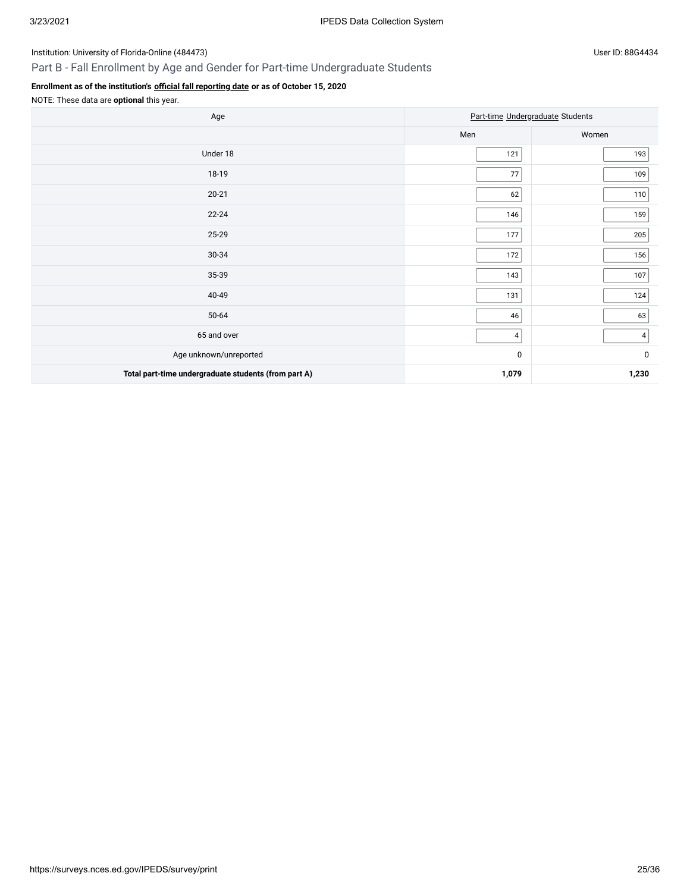# Part B - Fall Enrollment by Age and Gender for Part-time Undergraduate Students

# **Enrollment as of the institution's [official fall reporting date](javascript:openglossary(431)) or as of October 15, 2020**

NOTE: These data are **optional** this year.

| Age                                                  |           | Part-time Undergraduate Students |
|------------------------------------------------------|-----------|----------------------------------|
|                                                      | Men       | Women                            |
| Under 18                                             | 121       | 193                              |
| 18-19                                                | $77\,$    | 109                              |
| $20 - 21$                                            | 62        | 110                              |
| $22 - 24$                                            | 146       | 159                              |
| 25-29                                                | 177       | $205\,$                          |
| 30-34                                                | 172       | 156                              |
| 35-39                                                | 143       | 107                              |
| 40-49                                                | 131       | 124                              |
| 50-64                                                | 46        | 63                               |
| 65 and over                                          | 4         | 4 <sup>1</sup>                   |
| Age unknown/unreported                               | $\pmb{0}$ | $\mathbf 0$                      |
| Total part-time undergraduate students (from part A) | 1,079     | 1,230                            |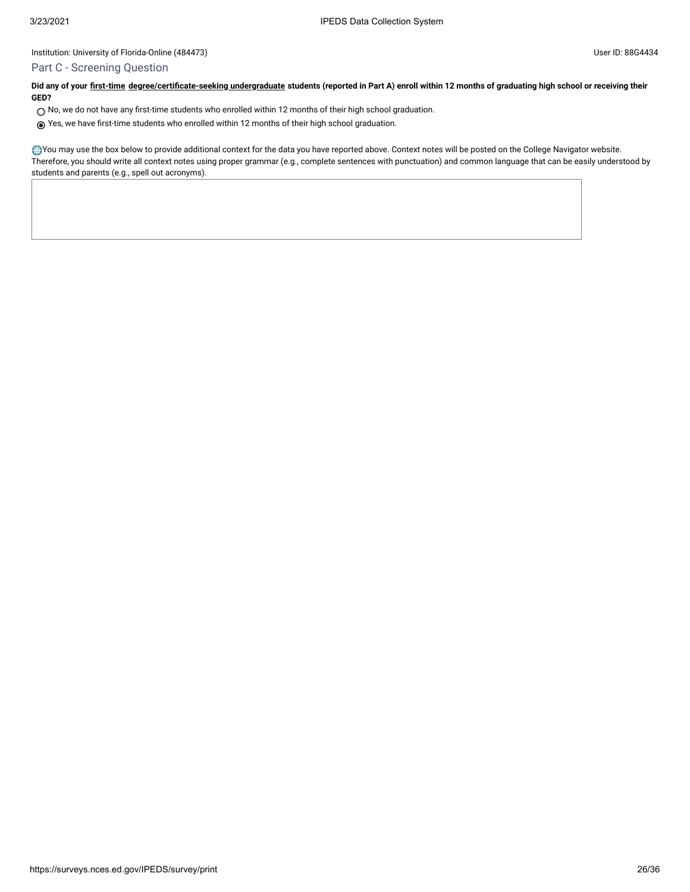### Part C - Screening Question

**Did any of your [first-time](javascript:openglossary(241)) [degree/certificate-seeking undergraduate](javascript:openglossary(171)) students (reported in Part A) enroll within 12 months of graduating high school or receiving their GED?**

- $\bigcirc$  No, we do not have any first-time students who enrolled within 12 months of their high school graduation.
- Yes, we have first-time students who enrolled within 12 months of their high school graduation.

You may use the box below to provide additional context for the data you have reported above. Context notes will be posted on the College Navigator website. Therefore, you should write all context notes using proper grammar (e.g., complete sentences with punctuation) and common language that can be easily understood by students and parents (e.g., spell out acronyms).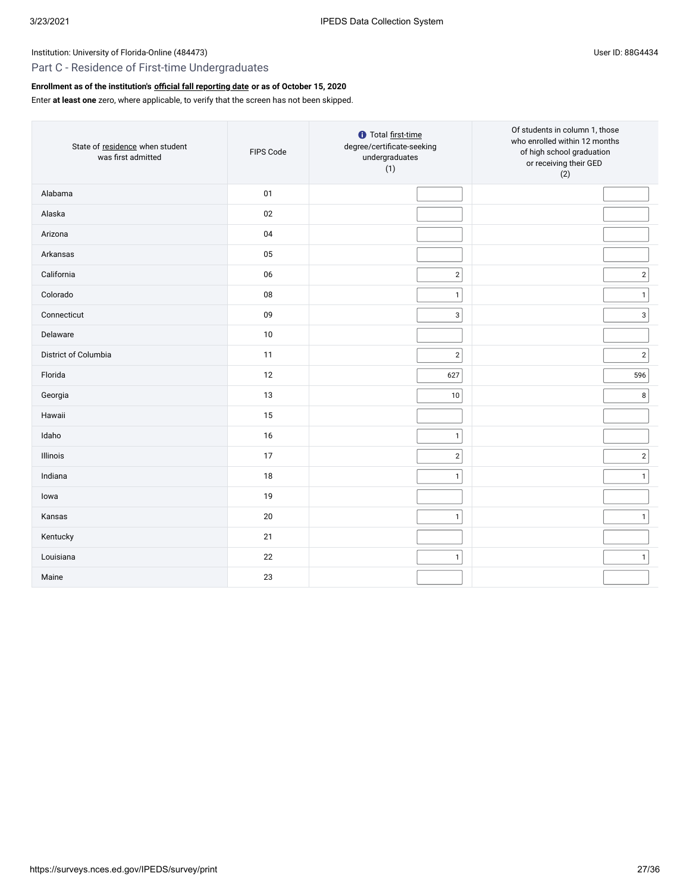# Part C - Residence of First-time Undergraduates

# **Enrollment as of the institution's [official fall reporting date](javascript:openglossary(431)) or as of October 15, 2020**

# Enter **at least one** zero, where applicable, to verify that the screen has not been skipped.

| State of residence when student<br>was first admitted | FIPS Code | <b>1</b> Total first-time<br>degree/certificate-seeking<br>undergraduates<br>(1) | Of students in column 1, those<br>who enrolled within 12 months<br>of high school graduation<br>or receiving their GED<br>(2) |
|-------------------------------------------------------|-----------|----------------------------------------------------------------------------------|-------------------------------------------------------------------------------------------------------------------------------|
| Alabama                                               | 01        |                                                                                  |                                                                                                                               |
| Alaska                                                | 02        |                                                                                  |                                                                                                                               |
| Arizona                                               | 04        |                                                                                  |                                                                                                                               |
| Arkansas                                              | 05        |                                                                                  |                                                                                                                               |
| California                                            | 06        | $\sqrt{2}$                                                                       | 2                                                                                                                             |
| Colorado                                              | 08        | $\mathbf{1}$                                                                     | $\vert$ 1                                                                                                                     |
| Connecticut                                           | 09        | $\mathbf{3}$                                                                     | 3 <sup>1</sup>                                                                                                                |
| Delaware                                              | 10        |                                                                                  |                                                                                                                               |
| District of Columbia                                  | 11        | $\sqrt{2}$                                                                       | $\overline{2}$                                                                                                                |
| Florida                                               | 12        | 627                                                                              | 596                                                                                                                           |
| Georgia                                               | 13        | $10\,$                                                                           | 8                                                                                                                             |
| Hawaii                                                | 15        |                                                                                  |                                                                                                                               |
| Idaho                                                 | 16        | $\mathbf{1}$                                                                     |                                                                                                                               |
| Illinois                                              | 17        | $\sqrt{2}$                                                                       | $2\vert$                                                                                                                      |
| Indiana                                               | 18        | $\mathbf{1}$                                                                     | 1                                                                                                                             |
| lowa                                                  | 19        |                                                                                  |                                                                                                                               |
| Kansas                                                | 20        | $\mathbf{1}$                                                                     | $\vert$ 1                                                                                                                     |
| Kentucky                                              | 21        |                                                                                  |                                                                                                                               |
| Louisiana                                             | 22        | $\mathbf{1}$                                                                     | 1                                                                                                                             |
| Maine                                                 | 23        |                                                                                  |                                                                                                                               |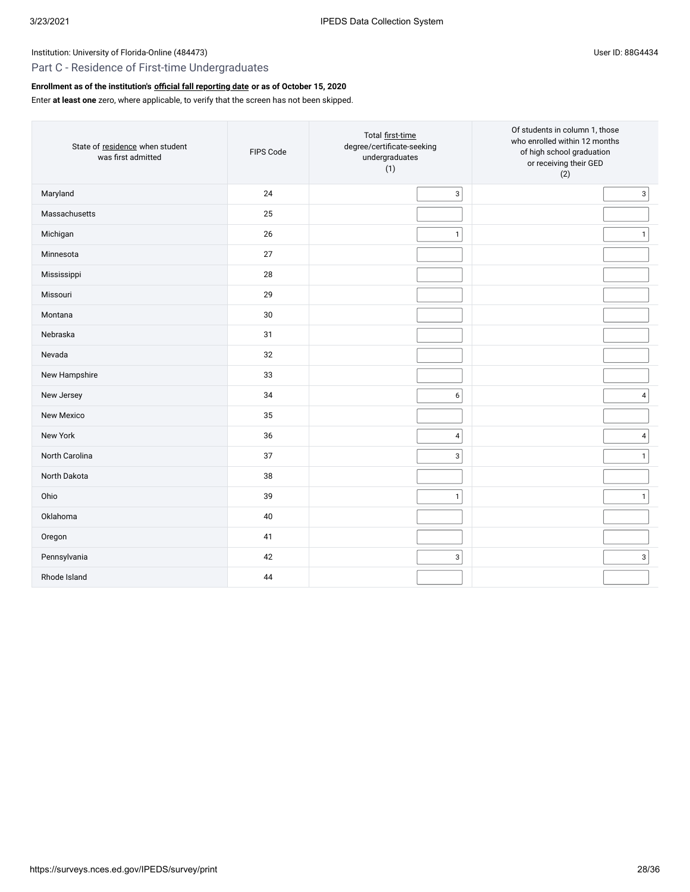# Part C - Residence of First-time Undergraduates

# **Enrollment as of the institution's [official fall reporting date](javascript:openglossary(431)) or as of October 15, 2020**

Enter **at least one** zero, where applicable, to verify that the screen has not been skipped.

| State of residence when student<br>was first admitted | FIPS Code | Total first-time<br>degree/certificate-seeking<br>undergraduates<br>(1) | Of students in column 1, those<br>who enrolled within 12 months<br>of high school graduation<br>or receiving their GED<br>(2) |
|-------------------------------------------------------|-----------|-------------------------------------------------------------------------|-------------------------------------------------------------------------------------------------------------------------------|
| Maryland                                              | 24        | 3                                                                       | $\overline{3}$                                                                                                                |
| Massachusetts                                         | 25        |                                                                         |                                                                                                                               |
| Michigan                                              | 26        | $\mathbf{1}$                                                            | $\mathbf{1}$                                                                                                                  |
| Minnesota                                             | 27        |                                                                         |                                                                                                                               |
| Mississippi                                           | 28        |                                                                         |                                                                                                                               |
| Missouri                                              | 29        |                                                                         |                                                                                                                               |
| Montana                                               | $30\,$    |                                                                         |                                                                                                                               |
| Nebraska                                              | 31        |                                                                         |                                                                                                                               |
| Nevada                                                | 32        |                                                                         |                                                                                                                               |
| New Hampshire                                         | 33        |                                                                         |                                                                                                                               |
| New Jersey                                            | 34        | 6                                                                       | $\overline{\mathbf{4}}$                                                                                                       |
| New Mexico                                            | 35        |                                                                         |                                                                                                                               |
| New York                                              | 36        | $\overline{4}$                                                          | $\overline{4}$                                                                                                                |
| North Carolina                                        | 37        | 3                                                                       | $\mathbf{1}$                                                                                                                  |
| North Dakota                                          | 38        |                                                                         |                                                                                                                               |
| Ohio                                                  | 39        | $\mathbf{1}$                                                            | $\mathbf{1}$                                                                                                                  |
| Oklahoma                                              | 40        |                                                                         |                                                                                                                               |
| Oregon                                                | 41        |                                                                         |                                                                                                                               |
| Pennsylvania                                          | 42        | 3                                                                       | $\mathsf 3$                                                                                                                   |
| Rhode Island                                          | 44        |                                                                         |                                                                                                                               |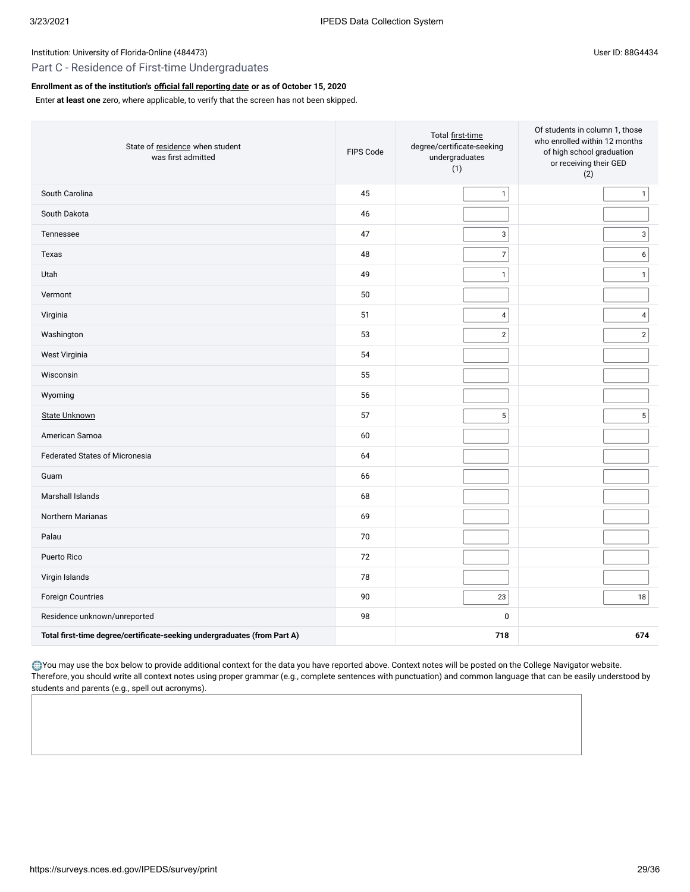# Part C - Residence of First-time Undergraduates

### **Enrollment as of the institution's [official fall reporting date](javascript:openglossary(431)) or as of October 15, 2020**

Enter **at least one** zero, where applicable, to verify that the screen has not been skipped.

| State of residence when student<br>was first admitted                    | FIPS Code | Total first-time<br>degree/certificate-seeking<br>undergraduates<br>(1) | Of students in column 1, those<br>who enrolled within 12 months<br>of high school graduation<br>or receiving their GED<br>(2) |
|--------------------------------------------------------------------------|-----------|-------------------------------------------------------------------------|-------------------------------------------------------------------------------------------------------------------------------|
| South Carolina                                                           | 45        | $\mathbf{1}$                                                            | $\mathbf{1}$                                                                                                                  |
| South Dakota                                                             | 46        |                                                                         |                                                                                                                               |
| Tennessee                                                                | 47        | $\mathbf{3}$                                                            | $\mathbf{3}$                                                                                                                  |
| Texas                                                                    | 48        | $\boldsymbol{7}$                                                        | 6                                                                                                                             |
| Utah                                                                     | 49        | $\mathbf{1}$                                                            | $\mathbf{1}$                                                                                                                  |
| Vermont                                                                  | 50        |                                                                         |                                                                                                                               |
| Virginia                                                                 | 51        | $\pmb{4}$                                                               | $\overline{4}$                                                                                                                |
| Washington                                                               | 53        | $\sqrt{2}$                                                              | $\sqrt{2}$                                                                                                                    |
| West Virginia                                                            | 54        |                                                                         |                                                                                                                               |
| Wisconsin                                                                | 55        |                                                                         |                                                                                                                               |
| Wyoming                                                                  | 56        |                                                                         |                                                                                                                               |
| <b>State Unknown</b>                                                     | 57        | $\mathbf 5$                                                             | $\mathbf 5$                                                                                                                   |
| American Samoa                                                           | 60        |                                                                         |                                                                                                                               |
| <b>Federated States of Micronesia</b>                                    | 64        |                                                                         |                                                                                                                               |
| Guam                                                                     | 66        |                                                                         |                                                                                                                               |
| Marshall Islands                                                         | 68        |                                                                         |                                                                                                                               |
| Northern Marianas                                                        | 69        |                                                                         |                                                                                                                               |
| Palau                                                                    | 70        |                                                                         |                                                                                                                               |
| Puerto Rico                                                              | 72        |                                                                         |                                                                                                                               |
| Virgin Islands                                                           | 78        |                                                                         |                                                                                                                               |
| Foreign Countries                                                        | 90        | $23\,$                                                                  | 18                                                                                                                            |
| Residence unknown/unreported                                             | 98        | $\pmb{0}$                                                               |                                                                                                                               |
| Total first-time degree/certificate-seeking undergraduates (from Part A) |           | 718                                                                     | 674                                                                                                                           |

You may use the box below to provide additional context for the data you have reported above. Context notes will be posted on the College Navigator website. Therefore, you should write all context notes using proper grammar (e.g., complete sentences with punctuation) and common language that can be easily understood by students and parents (e.g., spell out acronyms).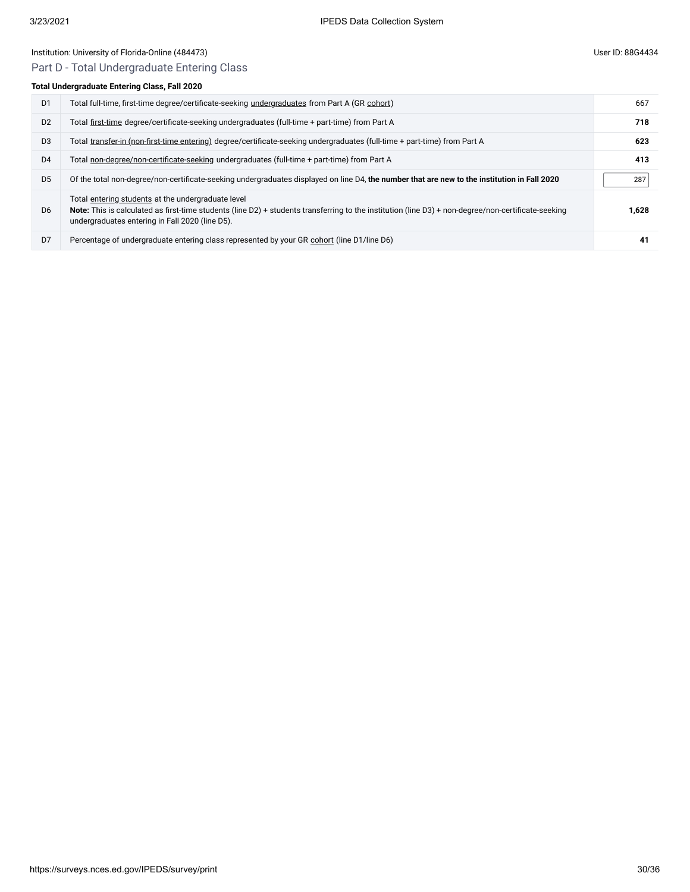# Part D - Total Undergraduate Entering Class

### **Total Undergraduate Enter**

| otal Undergraduate Entering Class, Fall 2020 |                                                                                                                           |     |  |
|----------------------------------------------|---------------------------------------------------------------------------------------------------------------------------|-----|--|
| D <sub>1</sub>                               | Total full-time, first-time degree/certificate-seeking undergraduates from Part A (GR cohort)                             | 667 |  |
| D <sub>2</sub>                               | Total first-time degree/certificate-seeking undergraduates (full-time + part-time) from Part A                            | 718 |  |
| D <sub>3</sub>                               | Total transfer-in (non-first-time entering) degree/certificate-seeking undergraduates (full-time + part-time) from Part A | 623 |  |
| D <sub>4</sub>                               | Total non-degree/non-certificate-seeking undergraduates (full-time + part-time) from Part A                               | 413 |  |

| D <sub>5</sub> | Of the total non-degree/non-certificate-seeking undergraduates displayed on line D4, the number that are new to the institution in Fall 2020                                                                                                                 | 287   |
|----------------|--------------------------------------------------------------------------------------------------------------------------------------------------------------------------------------------------------------------------------------------------------------|-------|
| D <sub>6</sub> | Total entering students at the undergraduate level<br>Note: This is calculated as first-time students (line D2) + students transferring to the institution (line D3) + non-degree/non-certificate-seeking<br>undergraduates entering in Fall 2020 (line D5). | 1,628 |
| D <sub>7</sub> | Percentage of undergraduate entering class represented by your GR cohort (line D1/line D6)                                                                                                                                                                   |       |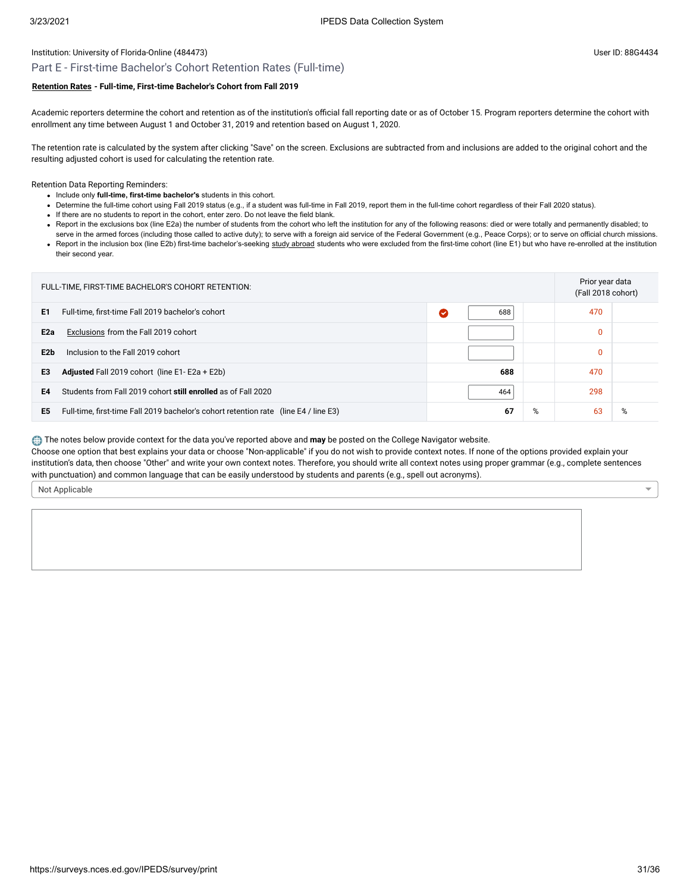### Part E - First-time Bachelor's Cohort Retention Rates (Full-time)

### **[Retention Rates](javascript:openglossary(772)) - Full-time, First-time Bachelor's Cohort from Fall 2019**

Academic reporters determine the cohort and retention as of the institution's official fall reporting date or as of October 15. Program reporters determine the cohort with enrollment any time between August 1 and October 31, 2019 and retention based on August 1, 2020.

The retention rate is calculated by the system after clicking "Save" on the screen. Exclusions are subtracted from and inclusions are added to the original cohort and the resulting adjusted cohort is used for calculating the retention rate.

Retention Data Reporting Reminders:

- Include only **full-time, first-time bachelor's** students in this cohort.
- Determine the full-time cohort using Fall 2019 status (e.g., if a student was full-time in Fall 2019, report them in the full-time cohort regardless of their Fall 2020 status).
- If there are no students to report in the cohort, enter zero. Do not leave the field blank.
- . Report in the exclusions box (line E2a) the number of students from the cohort who left the institution for any of the following reasons: died or were totally and permanently disabled; to serve in the armed forces (including those called to active duty); to serve with a foreign aid service of the Federal Government (e.g., Peace Corps); or to serve on official church missions.
- Report in the inclusion box (line E2b) first-time bachelor's-seeking [study abroad](javascript:openglossary(714)) students who were excluded from the first-time cohort (line E1) but who have re-enrolled at the institution their second year.

| FULL-TIME, FIRST-TIME BACHELOR'S COHORT RETENTION: |                                                                                      |           |   | Prior year data<br>(Fall 2018 cohort) |   |
|----------------------------------------------------|--------------------------------------------------------------------------------------|-----------|---|---------------------------------------|---|
| E1                                                 | Full-time, first-time Fall 2019 bachelor's cohort                                    | 688<br>(✓ |   | 470                                   |   |
| E <sub>2a</sub>                                    | Exclusions from the Fall 2019 cohort                                                 |           |   | $\mathbf{0}$                          |   |
| E2b                                                | Inclusion to the Fall 2019 cohort                                                    |           |   | $\mathbf{0}$                          |   |
| E3                                                 | <b>Adjusted</b> Fall 2019 cohort (line $E1 - E2a + E2b$ )                            | 688       |   | 470                                   |   |
| E4                                                 | Students from Fall 2019 cohort still enrolled as of Fall 2020                        | 464       |   | 298                                   |   |
| E <sub>5</sub>                                     | Full-time, first-time Fall 2019 bachelor's cohort retention rate (line E4 / line E3) | 67        | % | 63                                    | % |

The notes below provide context for the data you've reported above and **may** be posted on the College Navigator website.

Choose one option that best explains your data or choose "Non-applicable" if you do not wish to provide context notes. If none of the options provided explain your institution's data, then choose "Other" and write your own context notes. Therefore, you should write all context notes using proper grammar (e.g., complete sentences with punctuation) and common language that can be easily understood by students and parents (e.g., spell out acronyms).

Not Applicable

 $\overline{\phantom{0}}$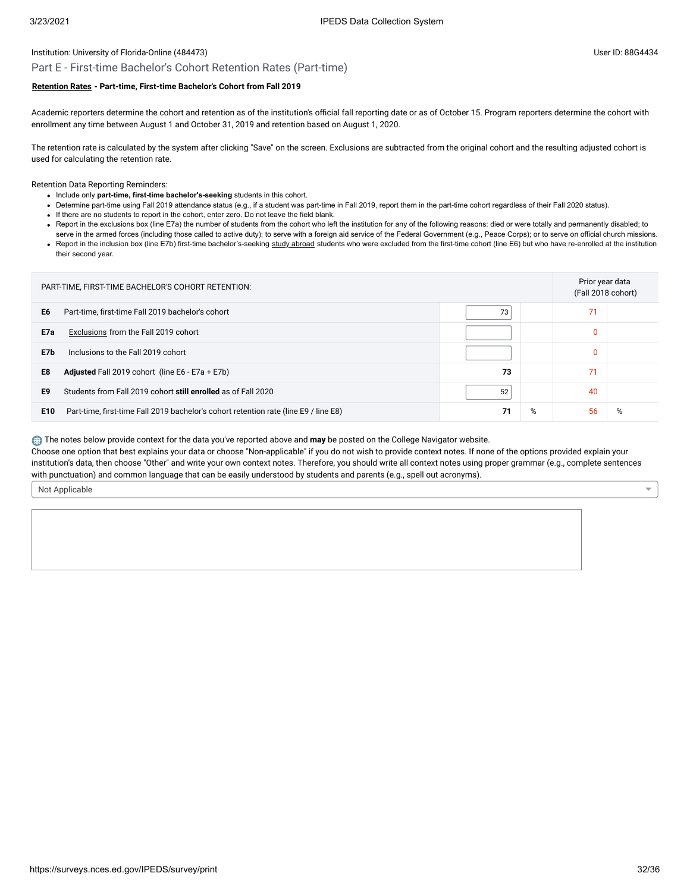## Part E - First-time Bachelor's Cohort Retention Rates (Part-time)

### **[Retention Rates](javascript:openglossary(772)) - Part-time, First-time Bachelor's Cohort from Fall 2019**

Academic reporters determine the cohort and retention as of the institution's official fall reporting date or as of October 15. Program reporters determine the cohort with enrollment any time between August 1 and October 31, 2019 and retention based on August 1, 2020.

The retention rate is calculated by the system after clicking "Save" on the screen. Exclusions are subtracted from the original cohort and the resulting adjusted cohort is used for calculating the retention rate.

Retention Data Reporting Reminders:

- Include only **part-time, first-time bachelor's-seeking** students in this cohort.
- Determine part-time using Fall 2019 attendance status (e.g., if a student was part-time in Fall 2019, report them in the part-time cohort regardless of their Fall 2020 status).
- If there are no students to report in the cohort, enter zero. Do not leave the field blank.
- . Report in the exclusions box (line E7a) the number of students from the cohort who left the institution for any of the following reasons: died or were totally and permanently disabled; to
- serve in the armed forces (including those called to active duty); to serve with a foreign aid service of the Federal Government (e.g., Peace Corps); or to serve on official church missions. • Report in the inclusion box (line E7b) first-time bachelor's-seeking [study abroad](javascript:openglossary(714)) students who were excluded from the first-time cohort (line E6) but who have re-enrolled at the institution their second year.

| PART-TIME, FIRST-TIME BACHELOR'S COHORT RETENTION: |                                                                                      |    |   | Prior year data<br>(Fall 2018 cohort) |   |
|----------------------------------------------------|--------------------------------------------------------------------------------------|----|---|---------------------------------------|---|
| E <sub>6</sub>                                     | Part-time, first-time Fall 2019 bachelor's cohort                                    | 73 |   | 71                                    |   |
| E7a                                                | Exclusions from the Fall 2019 cohort                                                 |    |   | $\Omega$                              |   |
| E7b                                                | Inclusions to the Fall 2019 cohort                                                   |    |   | $\Omega$                              |   |
| E8                                                 | <b>Adjusted</b> Fall 2019 cohort (line E6 - E7a + E7b)                               | 73 |   | 71                                    |   |
| E9                                                 | Students from Fall 2019 cohort still enrolled as of Fall 2020                        | 52 |   | 40                                    |   |
| E10                                                | Part-time, first-time Fall 2019 bachelor's cohort retention rate (line E9 / line E8) | 71 | % | 56                                    | % |

The notes below provide context for the data you've reported above and **may** be posted on the College Navigator website.

Choose one option that best explains your data or choose "Non-applicable" if you do not wish to provide context notes. If none of the options provided explain your institution's data, then choose "Other" and write your own context notes. Therefore, you should write all context notes using proper grammar (e.g., complete sentences with punctuation) and common language that can be easily understood by students and parents (e.g., spell out acronyms).

Not Applicable

 $\overline{\phantom{0}}$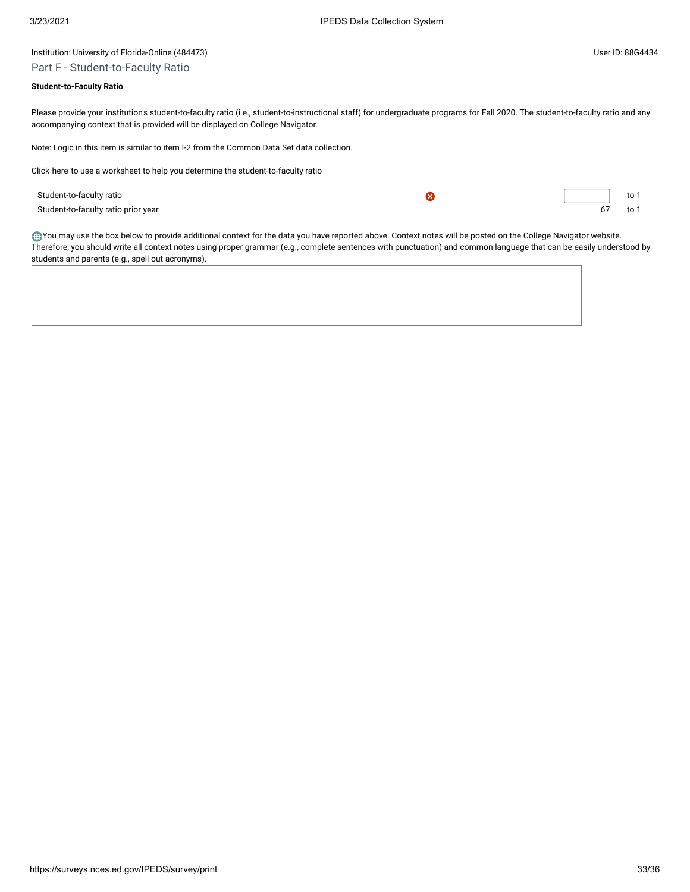# Part F - Student-to-Faculty Ratio

# **Student-to-Faculty Ratio**

Please provide your institution's student-to-faculty ratio (i.e., student-to-instructional staff) for undergraduate programs for Fall 2020. The student-to-faculty ratio and any accompanying context that is provided will be displayed on College Navigator.

Note: Logic in this item is similar to item I-2 from the Common Data Set data collection.

Click [here](javascript:openEFworksheet(2)) to use a worksheet to help you determine the student-to-faculty ratio

| Student-to-faculty ratio            |  |  |
|-------------------------------------|--|--|
| Student-to-faculty ratio prior year |  |  |

You may use the box below to provide additional context for the data you have reported above. Context notes will be posted on the College Navigator website. Therefore, you should write all context notes using proper grammar (e.g., complete sentences with punctuation) and common language that can be easily understood by students and parents (e.g., spell out acronyms).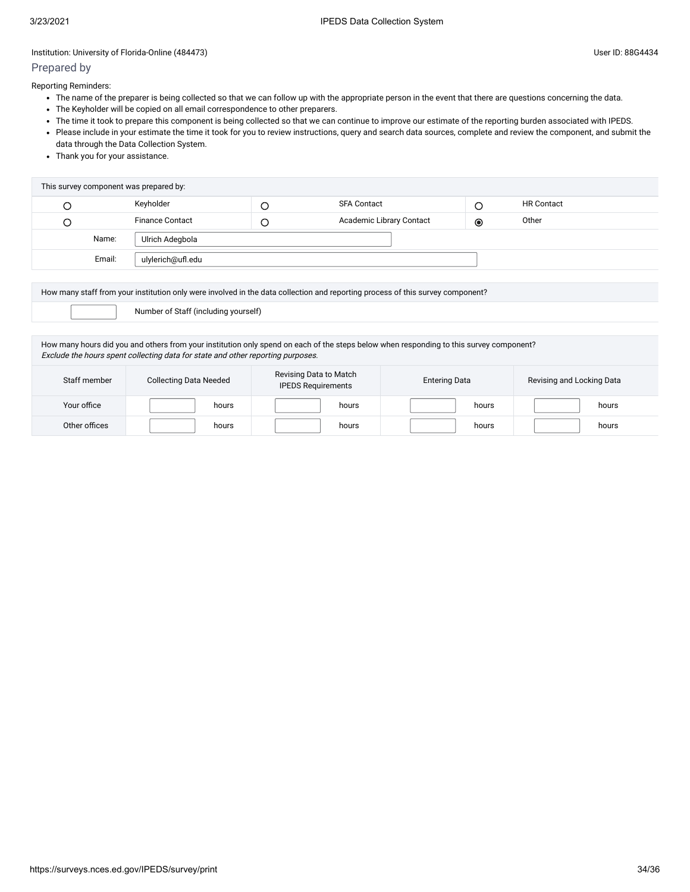# Prepared by

Reporting Reminders:

- The name of the preparer is being collected so that we can follow up with the appropriate person in the event that there are questions concerning the data.
- The Keyholder will be copied on all email correspondence to other preparers.
- The time it took to prepare this component is being collected so that we can continue to improve our estimate of the reporting burden associated with IPEDS.
- Please include in your estimate the time it took for you to review instructions, query and search data sources, complete and review the component, and submit the data through the Data Collection System.
- Thank you for your assistance.

| This survey component was prepared by: |                             |  |                          |                |                   |  |
|----------------------------------------|-----------------------------|--|--------------------------|----------------|-------------------|--|
|                                        | Keyholder                   |  | <b>SFA Contact</b>       | C              | <b>HR Contact</b> |  |
|                                        | <b>Finance Contact</b>      |  | Academic Library Contact | $\circledcirc$ | Other             |  |
|                                        | Name:<br>Ulrich Adegbola    |  |                          |                |                   |  |
|                                        | Email:<br>ulylerich@ufl.edu |  |                          |                |                   |  |
|                                        |                             |  |                          |                |                   |  |

How many staff from your institution only were involved in the data collection and reporting process of this survey component?

Number of Staff (including yourself)

How many hours did you and others from your institution only spend on each of the steps below when responding to this survey component? Exclude the hours spent collecting data for state and other reporting purposes.

| Staff member  | <b>Collecting Data Needed</b> | Revising Data to Match<br><b>IPEDS Requirements</b> | <b>Entering Data</b> | Revising and Locking Data |  |
|---------------|-------------------------------|-----------------------------------------------------|----------------------|---------------------------|--|
| Your office   | hours                         | hours                                               | hours                | hours                     |  |
| Other offices | hours                         | hours                                               | hours                | hours                     |  |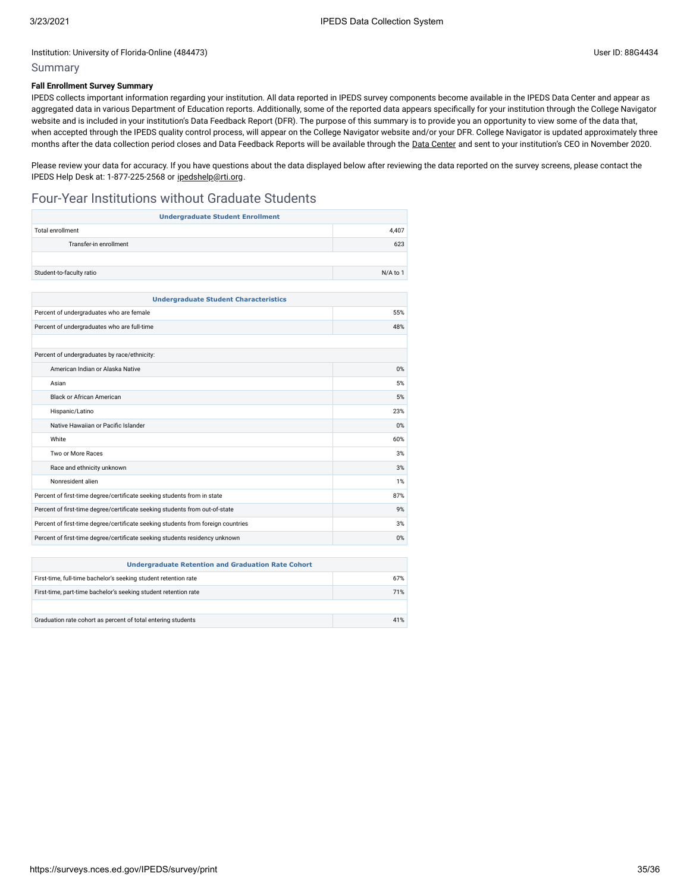# Summary

### **Fall Enrollment Survey Summary**

IPEDS collects important information regarding your institution. All data reported in IPEDS survey components become available in the IPEDS Data Center and appear as aggregated data in various Department of Education reports. Additionally, some of the reported data appears specifically for your institution through the College Navigator website and is included in your institution's Data Feedback Report (DFR). The purpose of this summary is to provide you an opportunity to view some of the data that, when accepted through the IPEDS quality control process, will appear on the College Navigator website and/or your DFR. College Navigator is updated approximately three months after the data collection period closes and Data Feedback Reports will be available through the Data [Center](https://nces.ed.gov/ipeds/use-the-data) and sent to your institution's CEO in November 2020.

Please review your data for accuracy. If you have questions about the data displayed below after reviewing the data reported on the survey screens, please contact the IPEDS Help Desk at: 1-877-225-2568 or [ipedshelp@rti.org.](mailto:ipedshelp@rti.org)

# Four-Year Institutions without Graduate Students

| <b>Undergraduate Student Enrollment</b>                                          |          |  |
|----------------------------------------------------------------------------------|----------|--|
| <b>Total enrollment</b>                                                          | 4.407    |  |
| Transfer-in enrollment                                                           | 623      |  |
|                                                                                  |          |  |
| Student-to-faculty ratio                                                         | N/A to 1 |  |
|                                                                                  |          |  |
| <b>Undergraduate Student Characteristics</b>                                     |          |  |
| Percent of undergraduates who are female                                         | 55%      |  |
| Percent of undergraduates who are full-time                                      | 48%      |  |
|                                                                                  |          |  |
| Percent of undergraduates by race/ethnicity:                                     |          |  |
| American Indian or Alaska Native                                                 | 0%       |  |
| Asian                                                                            | 5%       |  |
| <b>Black or African American</b>                                                 | 5%       |  |
| Hispanic/Latino                                                                  | 23%      |  |
| Native Hawaiian or Pacific Islander                                              | 0%       |  |
| White                                                                            | 60%      |  |
| Two or More Races                                                                | 3%       |  |
| Race and ethnicity unknown                                                       | 3%       |  |
| Nonresident alien                                                                | 1%       |  |
| Percent of first-time degree/certificate seeking students from in state          | 87%      |  |
| Percent of first-time degree/certificate seeking students from out-of-state      | 9%       |  |
| Percent of first-time degree/certificate seeking students from foreign countries |          |  |
| Percent of first-time degree/certificate seeking students residency unknown      |          |  |

| <b>Undergraduate Retention and Graduation Rate Cohort</b>       |     |  |
|-----------------------------------------------------------------|-----|--|
| First-time, full-time bachelor's seeking student retention rate | 67% |  |
| First-time, part-time bachelor's seeking student retention rate | 71% |  |
|                                                                 |     |  |
| Graduation rate cohort as percent of total entering students    | 41% |  |